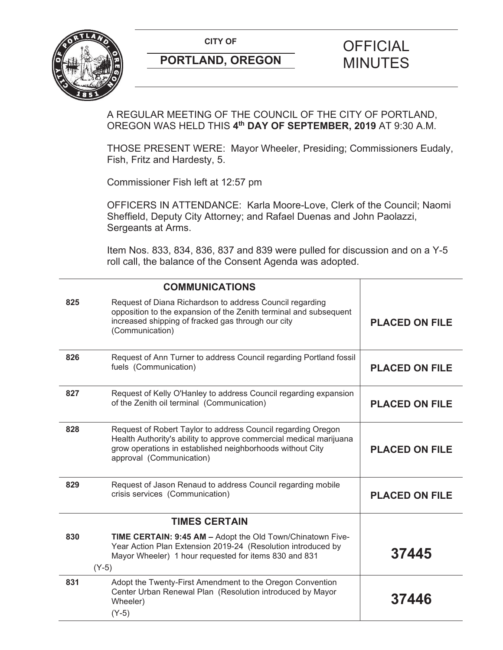**CITY OF CITY OF PICIAL** 



# **PORTLAND, OREGON MINUTES**

# A REGULAR MEETING OF THE COUNCIL OF THE CITY OF PORTLAND, OREGON WAS HELD THIS **4th DAY OF SEPTEMBER, 2019** AT 9:30 A.M.

THOSE PRESENT WERE: Mayor Wheeler, Presiding; Commissioners Eudaly, Fish, Fritz and Hardesty, 5.

Commissioner Fish left at 12:57 pm

OFFICERS IN ATTENDANCE: Karla Moore-Love, Clerk of the Council; Naomi Sheffield, Deputy City Attorney; and Rafael Duenas and John Paolazzi, Sergeants at Arms.

Item Nos. 833, 834, 836, 837 and 839 were pulled for discussion and on a Y-5 roll call, the balance of the Consent Agenda was adopted.

|     | <b>COMMUNICATIONS</b>                                                                                                                                                                                                       |                       |
|-----|-----------------------------------------------------------------------------------------------------------------------------------------------------------------------------------------------------------------------------|-----------------------|
| 825 | Request of Diana Richardson to address Council regarding<br>opposition to the expansion of the Zenith terminal and subsequent<br>increased shipping of fracked gas through our city<br>(Communication)                      | <b>PLACED ON FILE</b> |
| 826 | Request of Ann Turner to address Council regarding Portland fossil<br>fuels (Communication)                                                                                                                                 | <b>PLACED ON FILE</b> |
| 827 | Request of Kelly O'Hanley to address Council regarding expansion<br>of the Zenith oil terminal (Communication)                                                                                                              | <b>PLACED ON FILE</b> |
| 828 | Request of Robert Taylor to address Council regarding Oregon<br>Health Authority's ability to approve commercial medical marijuana<br>grow operations in established neighborhoods without City<br>approval (Communication) | <b>PLACED ON FILE</b> |
| 829 | Request of Jason Renaud to address Council regarding mobile<br>crisis services (Communication)                                                                                                                              | <b>PLACED ON FILE</b> |
|     | <b>TIMES CERTAIN</b>                                                                                                                                                                                                        |                       |
| 830 | TIME CERTAIN: 9:45 AM - Adopt the Old Town/Chinatown Five-<br>Year Action Plan Extension 2019-24 (Resolution introduced by<br>Mayor Wheeler) 1 hour requested for items 830 and 831<br>$(Y-5)$                              | 37445                 |
| 831 | Adopt the Twenty-First Amendment to the Oregon Convention<br>Center Urban Renewal Plan (Resolution introduced by Mayor<br>Wheeler)<br>$(Y-5)$                                                                               | 37446                 |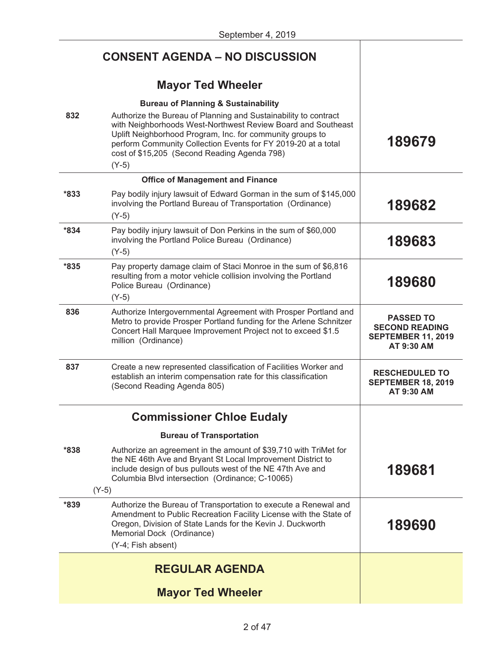|        | <b>CONSENT AGENDA - NO DISCUSSION</b>                                                                                                                                                                                                                                                                                                                                      |                                                                                      |
|--------|----------------------------------------------------------------------------------------------------------------------------------------------------------------------------------------------------------------------------------------------------------------------------------------------------------------------------------------------------------------------------|--------------------------------------------------------------------------------------|
|        | <b>Mayor Ted Wheeler</b>                                                                                                                                                                                                                                                                                                                                                   |                                                                                      |
| 832    | <b>Bureau of Planning &amp; Sustainability</b><br>Authorize the Bureau of Planning and Sustainability to contract<br>with Neighborhoods West-Northwest Review Board and Southeast<br>Uplift Neighborhood Program, Inc. for community groups to<br>perform Community Collection Events for FY 2019-20 at a total<br>cost of \$15,205 (Second Reading Agenda 798)<br>$(Y-5)$ | 189679                                                                               |
|        | <b>Office of Management and Finance</b>                                                                                                                                                                                                                                                                                                                                    |                                                                                      |
| $*833$ | Pay bodily injury lawsuit of Edward Gorman in the sum of \$145,000<br>involving the Portland Bureau of Transportation (Ordinance)<br>$(Y-5)$                                                                                                                                                                                                                               | 189682                                                                               |
| $*834$ | Pay bodily injury lawsuit of Don Perkins in the sum of \$60,000<br>involving the Portland Police Bureau (Ordinance)<br>$(Y-5)$                                                                                                                                                                                                                                             | 189683                                                                               |
| $*835$ | Pay property damage claim of Staci Monroe in the sum of \$6,816<br>resulting from a motor vehicle collision involving the Portland<br>Police Bureau (Ordinance)<br>$(Y-5)$                                                                                                                                                                                                 | 189680                                                                               |
| 836    | Authorize Intergovernmental Agreement with Prosper Portland and<br>Metro to provide Prosper Portland funding for the Arlene Schnitzer<br>Concert Hall Marquee Improvement Project not to exceed \$1.5<br>million (Ordinance)                                                                                                                                               | <b>PASSED TO</b><br><b>SECOND READING</b><br><b>SEPTEMBER 11, 2019</b><br>AT 9:30 AM |
| 837    | Create a new represented classification of Facilities Worker and<br>establish an interim compensation rate for this classification<br>(Second Reading Agenda 805)                                                                                                                                                                                                          | <b>RESCHEDULED TO</b><br><b>SEPTEMBER 18, 2019</b><br>AT 9:30 AM                     |
|        | <b>Commissioner Chloe Eudaly</b>                                                                                                                                                                                                                                                                                                                                           |                                                                                      |
|        | <b>Bureau of Transportation</b>                                                                                                                                                                                                                                                                                                                                            |                                                                                      |
| $*838$ | Authorize an agreement in the amount of \$39,710 with TriMet for<br>the NE 46th Ave and Bryant St Local Improvement District to<br>include design of bus pullouts west of the NE 47th Ave and<br>Columbia Blvd intersection (Ordinance; C-10065)<br>$(Y-5)$                                                                                                                | 189681                                                                               |
| *839   | Authorize the Bureau of Transportation to execute a Renewal and<br>Amendment to Public Recreation Facility License with the State of<br>Oregon, Division of State Lands for the Kevin J. Duckworth<br>Memorial Dock (Ordinance)<br>(Y-4; Fish absent)                                                                                                                      | 189690                                                                               |
|        | <b>REGULAR AGENDA</b>                                                                                                                                                                                                                                                                                                                                                      |                                                                                      |
|        | <b>Mayor Ted Wheeler</b>                                                                                                                                                                                                                                                                                                                                                   |                                                                                      |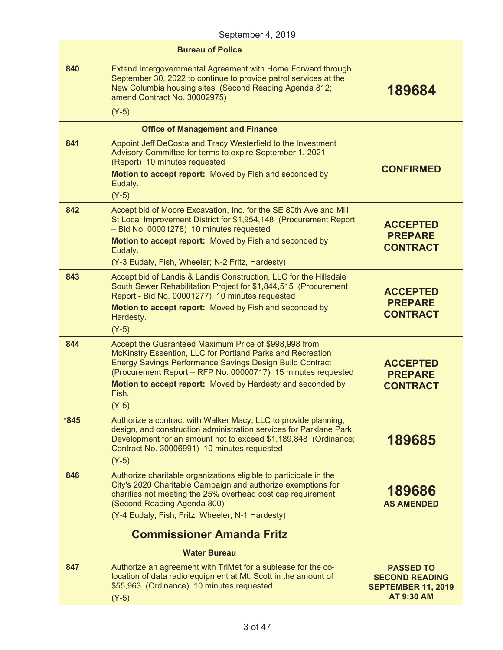| September 4, 2019 |                                                                                                                                                                                                                                                                                                                               |                                                                                             |  |  |
|-------------------|-------------------------------------------------------------------------------------------------------------------------------------------------------------------------------------------------------------------------------------------------------------------------------------------------------------------------------|---------------------------------------------------------------------------------------------|--|--|
|                   | <b>Bureau of Police</b>                                                                                                                                                                                                                                                                                                       |                                                                                             |  |  |
| 840               | Extend Intergovernmental Agreement with Home Forward through<br>September 30, 2022 to continue to provide patrol services at the<br>New Columbia housing sites (Second Reading Agenda 812;<br>amend Contract No. 30002975)                                                                                                    | 189684                                                                                      |  |  |
|                   | $(Y-5)$                                                                                                                                                                                                                                                                                                                       |                                                                                             |  |  |
|                   | <b>Office of Management and Finance</b>                                                                                                                                                                                                                                                                                       |                                                                                             |  |  |
| 841               | Appoint Jeff DeCosta and Tracy Westerfield to the Investment<br>Advisory Committee for terms to expire September 1, 2021<br>(Report) 10 minutes requested                                                                                                                                                                     |                                                                                             |  |  |
|                   | Motion to accept report: Moved by Fish and seconded by<br>Eudaly.<br>$(Y-5)$                                                                                                                                                                                                                                                  | <b>CONFIRMED</b>                                                                            |  |  |
| 842               | Accept bid of Moore Excavation, Inc. for the SE 80th Ave and Mill<br>St Local Improvement District for \$1,954,148 (Procurement Report<br>- Bid No. 00001278) 10 minutes requested<br>Motion to accept report: Moved by Fish and seconded by                                                                                  | <b>ACCEPTED</b><br><b>PREPARE</b>                                                           |  |  |
|                   | Eudaly.                                                                                                                                                                                                                                                                                                                       | <b>CONTRACT</b>                                                                             |  |  |
|                   | (Y-3 Eudaly, Fish, Wheeler; N-2 Fritz, Hardesty)                                                                                                                                                                                                                                                                              |                                                                                             |  |  |
| 843               | Accept bid of Landis & Landis Construction, LLC for the Hillsdale<br>South Sewer Rehabilitation Project for \$1,844,515 (Procurement<br>Report - Bid No. 00001277) 10 minutes requested                                                                                                                                       | <b>ACCEPTED</b>                                                                             |  |  |
|                   | Motion to accept report: Moved by Fish and seconded by<br>Hardesty.                                                                                                                                                                                                                                                           | <b>PREPARE</b><br><b>CONTRACT</b>                                                           |  |  |
|                   | $(Y-5)$                                                                                                                                                                                                                                                                                                                       |                                                                                             |  |  |
| 844               | Accept the Guaranteed Maximum Price of \$998,998 from<br>McKinstry Essention, LLC for Portland Parks and Recreation<br><b>Energy Savings Performance Savings Design Build Contract</b><br>(Procurement Report - RFP No. 00000717) 15 minutes requested<br>Motion to accept report: Moved by Hardesty and seconded by<br>Fish. | <b>ACCEPTED</b><br><b>PREPARE</b><br><b>CONTRACT</b>                                        |  |  |
|                   | $(Y-5)$                                                                                                                                                                                                                                                                                                                       |                                                                                             |  |  |
| $*845$            | Authorize a contract with Walker Macy, LLC to provide planning,<br>design, and construction administration services for Parklane Park<br>Development for an amount not to exceed \$1,189,848 (Ordinance;<br>Contract No. 30006991) 10 minutes requested<br>$(Y-5)$                                                            | 189685                                                                                      |  |  |
| 846               | Authorize charitable organizations eligible to participate in the<br>City's 2020 Charitable Campaign and authorize exemptions for<br>charities not meeting the 25% overhead cost cap requirement<br>(Second Reading Agenda 800)<br>(Y-4 Eudaly, Fish, Fritz, Wheeler; N-1 Hardesty)                                           | 189686<br><b>AS AMENDED</b>                                                                 |  |  |
|                   |                                                                                                                                                                                                                                                                                                                               |                                                                                             |  |  |
|                   | <b>Commissioner Amanda Fritz</b>                                                                                                                                                                                                                                                                                              |                                                                                             |  |  |
|                   | Water Bureau                                                                                                                                                                                                                                                                                                                  |                                                                                             |  |  |
| 847               | Authorize an agreement with TriMet for a sublease for the co-<br>location of data radio equipment at Mt. Scott in the amount of<br>\$55,963 (Ordinance) 10 minutes requested<br>$(Y-5)$                                                                                                                                       | <b>PASSED TO</b><br><b>SECOND READING</b><br><b>SEPTEMBER 11, 2019</b><br><b>AT 9:30 AM</b> |  |  |
|                   |                                                                                                                                                                                                                                                                                                                               |                                                                                             |  |  |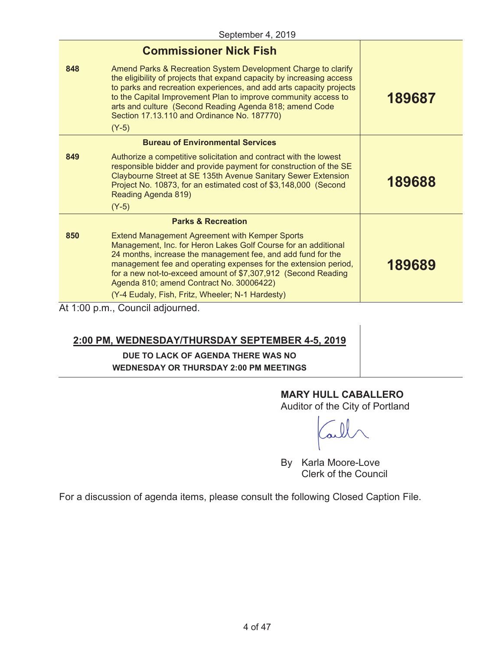|                                       | <b>Commissioner Nick Fish</b>                                                                                                                                                                                                                                                                                                                                                                                               |        |  |  |
|---------------------------------------|-----------------------------------------------------------------------------------------------------------------------------------------------------------------------------------------------------------------------------------------------------------------------------------------------------------------------------------------------------------------------------------------------------------------------------|--------|--|--|
| 848                                   | Amend Parks & Recreation System Development Charge to clarify<br>the eligibility of projects that expand capacity by increasing access<br>to parks and recreation experiences, and add arts capacity projects<br>to the Capital Improvement Plan to improve community access to<br>arts and culture (Second Reading Agenda 818; amend Code<br>Section 17.13.110 and Ordinance No. 187770)<br>$(Y-5)$                        | 189687 |  |  |
|                                       | <b>Bureau of Environmental Services</b>                                                                                                                                                                                                                                                                                                                                                                                     |        |  |  |
| 849                                   | Authorize a competitive solicitation and contract with the lowest<br>responsible bidder and provide payment for construction of the SE<br>Claybourne Street at SE 135th Avenue Sanitary Sewer Extension<br>Project No. 10873, for an estimated cost of \$3,148,000 (Second<br>Reading Agenda 819)<br>$(Y-5)$                                                                                                                | 189688 |  |  |
|                                       | <b>Parks &amp; Recreation</b>                                                                                                                                                                                                                                                                                                                                                                                               |        |  |  |
| 850                                   | <b>Extend Management Agreement with Kemper Sports</b><br>Management, Inc. for Heron Lakes Golf Course for an additional<br>24 months, increase the management fee, and add fund for the<br>management fee and operating expenses for the extension period,<br>for a new not-to-exceed amount of \$7,307,912 (Second Reading<br>Agenda 810; amend Contract No. 30006422)<br>(Y-4 Eudaly, Fish, Fritz, Wheeler; N-1 Hardesty) | 189689 |  |  |
| $1 + 1.00 \times m$ Council odiournod |                                                                                                                                                                                                                                                                                                                                                                                                                             |        |  |  |

At 1:00 p.m., Council adjourned.

# **2:00 PM, WEDNESDAY/THURSDAY SEPTEMBER 4-5, 2019**

# **DUE TO LACK OF AGENDA THERE WAS NO WEDNESDAY OR THURSDAY 2:00 PM MEETINGS**

# **MARY HULL CABALLERO**

Auditor of the City of Portland

By Karla Moore-Love Clerk of the Council

For a discussion of agenda items, please consult the following Closed Caption File.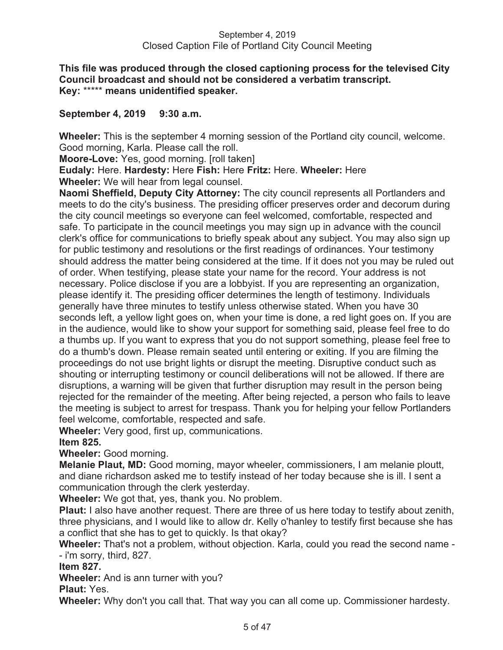# **This file was produced through the closed captioning process for the televised City Council broadcast and should not be considered a verbatim transcript. Key:** \*\*\*\*\* **means unidentified speaker.**

# **September 4, 2019 9:30 a.m.**

**Wheeler:** This is the september 4 morning session of the Portland city council, welcome. Good morning, Karla. Please call the roll.

**Moore-Love:** Yes, good morning. [roll taken]

**Eudaly:** Here. **Hardesty:** Here **Fish:** Here **Fritz:** Here. **Wheeler:** Here **Wheeler:** We will hear from legal counsel.

**Naomi Sheffield, Deputy City Attorney:** The city council represents all Portlanders and meets to do the city's business. The presiding officer preserves order and decorum during the city council meetings so everyone can feel welcomed, comfortable, respected and safe. To participate in the council meetings you may sign up in advance with the council clerk's office for communications to briefly speak about any subject. You may also sign up for public testimony and resolutions or the first readings of ordinances. Your testimony should address the matter being considered at the time. If it does not you may be ruled out of order. When testifying, please state your name for the record. Your address is not necessary. Police disclose if you are a lobbyist. If you are representing an organization, please identify it. The presiding officer determines the length of testimony. Individuals generally have three minutes to testify unless otherwise stated. When you have 30 seconds left, a yellow light goes on, when your time is done, a red light goes on. If you are in the audience, would like to show your support for something said, please feel free to do a thumbs up. If you want to express that you do not support something, please feel free to do a thumb's down. Please remain seated until entering or exiting. If you are filming the proceedings do not use bright lights or disrupt the meeting. Disruptive conduct such as shouting or interrupting testimony or council deliberations will not be allowed. If there are disruptions, a warning will be given that further disruption may result in the person being rejected for the remainder of the meeting. After being rejected, a person who fails to leave the meeting is subject to arrest for trespass. Thank you for helping your fellow Portlanders feel welcome, comfortable, respected and safe.

**Wheeler:** Very good, first up, communications.

# **Item 825.**

**Wheeler:** Good morning.

**Melanie Plaut, MD:** Good morning, mayor wheeler, commissioners, I am melanie ploutt, and diane richardson asked me to testify instead of her today because she is ill. I sent a communication through the clerk yesterday.

**Wheeler:** We got that, yes, thank you. No problem.

**Plaut:** I also have another request. There are three of us here today to testify about zenith, three physicians, and I would like to allow dr. Kelly o'hanley to testify first because she has a conflict that she has to get to quickly. Is that okay?

**Wheeler:** That's not a problem, without objection. Karla, could you read the second name - - i'm sorry, third, 827.

**Item 827.** 

**Wheeler:** And is ann turner with you?

**Plaut:** Yes.

**Wheeler:** Why don't you call that. That way you can all come up. Commissioner hardesty.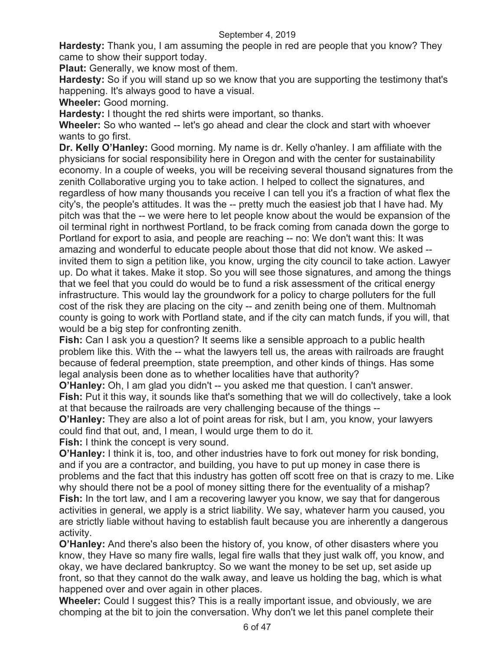**Hardesty:** Thank you, I am assuming the people in red are people that you know? They came to show their support today.

**Plaut:** Generally, we know most of them.

**Hardesty:** So if you will stand up so we know that you are supporting the testimony that's happening. It's always good to have a visual.

**Wheeler:** Good morning.

**Hardesty:** I thought the red shirts were important, so thanks.

**Wheeler:** So who wanted -- let's go ahead and clear the clock and start with whoever wants to go first.

**Dr. Kelly O'Hanley:** Good morning. My name is dr. Kelly o'hanley. I am affiliate with the physicians for social responsibility here in Oregon and with the center for sustainability economy. In a couple of weeks, you will be receiving several thousand signatures from the zenith Collaborative urging you to take action. I helped to collect the signatures, and regardless of how many thousands you receive I can tell you it's a fraction of what flex the city's, the people's attitudes. It was the -- pretty much the easiest job that I have had. My pitch was that the -- we were here to let people know about the would be expansion of the oil terminal right in northwest Portland, to be frack coming from canada down the gorge to Portland for export to asia, and people are reaching -- no: We don't want this: It was amazing and wonderful to educate people about those that did not know. We asked - invited them to sign a petition like, you know, urging the city council to take action. Lawyer up. Do what it takes. Make it stop. So you will see those signatures, and among the things that we feel that you could do would be to fund a risk assessment of the critical energy infrastructure. This would lay the groundwork for a policy to charge polluters for the full cost of the risk they are placing on the city -- and zenith being one of them. Multnomah county is going to work with Portland state, and if the city can match funds, if you will, that would be a big step for confronting zenith.

**Fish:** Can I ask you a question? It seems like a sensible approach to a public health problem like this. With the -- what the lawyers tell us, the areas with railroads are fraught because of federal preemption, state preemption, and other kinds of things. Has some legal analysis been done as to whether localities have that authority?

**O'Hanley:** Oh, I am glad you didn't -- you asked me that question. I can't answer. **Fish:** Put it this way, it sounds like that's something that we will do collectively, take a look at that because the railroads are very challenging because of the things --

**O'Hanley:** They are also a lot of point areas for risk, but I am, you know, your lawyers could find that out, and, I mean, I would urge them to do it.

**Fish:** I think the concept is very sound.

**O'Hanley:** I think it is, too, and other industries have to fork out money for risk bonding, and if you are a contractor, and building, you have to put up money in case there is problems and the fact that this industry has gotten off scott free on that is crazy to me. Like why should there not be a pool of money sitting there for the eventuality of a mishap? **Fish:** In the tort law, and I am a recovering lawyer you know, we say that for dangerous activities in general, we apply is a strict liability. We say, whatever harm you caused, you are strictly liable without having to establish fault because you are inherently a dangerous activity.

**O'Hanley:** And there's also been the history of, you know, of other disasters where you know, they Have so many fire walls, legal fire walls that they just walk off, you know, and okay, we have declared bankruptcy. So we want the money to be set up, set aside up front, so that they cannot do the walk away, and leave us holding the bag, which is what happened over and over again in other places.

**Wheeler:** Could I suggest this? This is a really important issue, and obviously, we are chomping at the bit to join the conversation. Why don't we let this panel complete their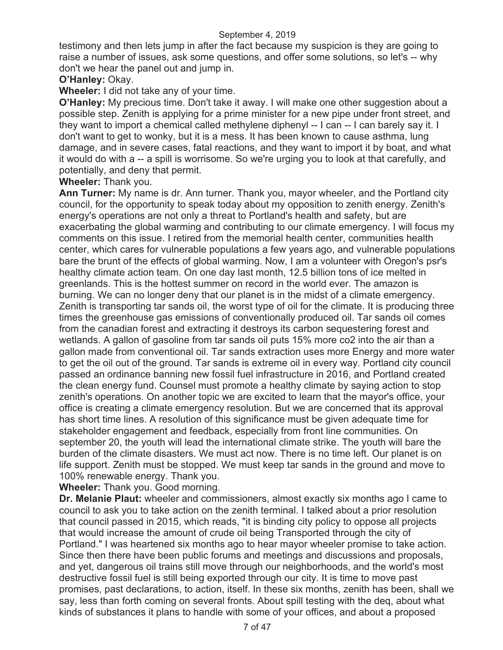testimony and then lets jump in after the fact because my suspicion is they are going to raise a number of issues, ask some questions, and offer some solutions, so let's -- why don't we hear the panel out and jump in.

# **O'Hanley:** Okay.

**Wheeler:** I did not take any of your time.

**O'Hanley:** My precious time. Don't take it away. I will make one other suggestion about a possible step. Zenith is applying for a prime minister for a new pipe under front street, and they want to import a chemical called methylene diphenyl -- I can -- I can barely say it. I don't want to get to wonky, but it is a mess. It has been known to cause asthma, lung damage, and in severe cases, fatal reactions, and they want to import it by boat, and what it would do with a -- a spill is worrisome. So we're urging you to look at that carefully, and potentially, and deny that permit.

**Wheeler:** Thank you.

**Ann Turner:** My name is dr. Ann turner. Thank you, mayor wheeler, and the Portland city council, for the opportunity to speak today about my opposition to zenith energy. Zenith's energy's operations are not only a threat to Portland's health and safety, but are exacerbating the global warming and contributing to our climate emergency. I will focus my comments on this issue. I retired from the memorial health center, communities health center, which cares for vulnerable populations a few years ago, and vulnerable populations bare the brunt of the effects of global warming. Now, I am a volunteer with Oregon's psr's healthy climate action team. On one day last month, 12.5 billion tons of ice melted in greenlands. This is the hottest summer on record in the world ever. The amazon is burning. We can no longer deny that our planet is in the midst of a climate emergency. Zenith is transporting tar sands oil, the worst type of oil for the climate. It is producing three times the greenhouse gas emissions of conventionally produced oil. Tar sands oil comes from the canadian forest and extracting it destroys its carbon sequestering forest and wetlands. A gallon of gasoline from tar sands oil puts 15% more co2 into the air than a gallon made from conventional oil. Tar sands extraction uses more Energy and more water to get the oil out of the ground. Tar sands is extreme oil in every way. Portland city council passed an ordinance banning new fossil fuel infrastructure in 2016, and Portland created the clean energy fund. Counsel must promote a healthy climate by saying action to stop zenith's operations. On another topic we are excited to learn that the mayor's office, your office is creating a climate emergency resolution. But we are concerned that its approval has short time lines. A resolution of this significance must be given adequate time for stakeholder engagement and feedback, especially from front line communities. On september 20, the youth will lead the international climate strike. The youth will bare the burden of the climate disasters. We must act now. There is no time left. Our planet is on life support. Zenith must be stopped. We must keep tar sands in the ground and move to 100% renewable energy. Thank you.

**Wheeler:** Thank you. Good morning.

**Dr. Melanie Plaut:** wheeler and commissioners, almost exactly six months ago I came to council to ask you to take action on the zenith terminal. I talked about a prior resolution that council passed in 2015, which reads, "it is binding city policy to oppose all projects that would increase the amount of crude oil being Transported through the city of Portland." I was heartened six months ago to hear mayor wheeler promise to take action. Since then there have been public forums and meetings and discussions and proposals, and yet, dangerous oil trains still move through our neighborhoods, and the world's most destructive fossil fuel is still being exported through our city. It is time to move past promises, past declarations, to action, itself. In these six months, zenith has been, shall we say, less than forth coming on several fronts. About spill testing with the deq, about what kinds of substances it plans to handle with some of your offices, and about a proposed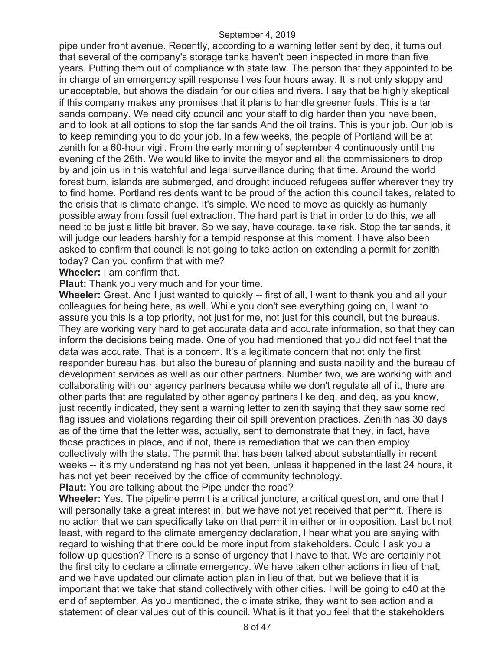pipe under front avenue. Recently, according to a warning letter sent by deq, it turns out that several of the company's storage tanks haven't been inspected in more than five years. Putting them out of compliance with state law. The person that they appointed to be in charge of an emergency spill response lives four hours away. It is not only sloppy and unacceptable, but shows the disdain for our cities and rivers. I say that be highly skeptical if this company makes any promises that it plans to handle greener fuels. This is a tar sands company. We need city council and your staff to dig harder than you have been, and to look at all options to stop the tar sands And the oil trains. This is your job. Our job is to keep reminding you to do your job. In a few weeks, the people of Portland will be at zenith for a 60-hour vigil. From the early morning of september 4 continuously until the evening of the 26th. We would like to invite the mayor and all the commissioners to drop by and join us in this watchful and legal surveillance during that time. Around the world forest burn, islands are submerged, and drought induced refugees suffer wherever they try to find home. Portland residents want to be proud of the action this council takes, related to the crisis that is climate change. It's simple. We need to move as quickly as humanly possible away from fossil fuel extraction. The hard part is that in order to do this, we all need to be just a little bit braver. So we say, have courage, take risk. Stop the tar sands, it will judge our leaders harshly for a tempid response at this moment. I have also been asked to confirm that council is not going to take action on extending a permit for zenith today? Can you confirm that with me?

**Wheeler:** I am confirm that.

**Plaut:** Thank you very much and for your time.

**Wheeler:** Great. And I just wanted to quickly -- first of all, I want to thank you and all your colleagues for being here, as well. While you don't see everything going on, I want to assure you this is a top priority, not just for me, not just for this council, but the bureaus. They are working very hard to get accurate data and accurate information, so that they can inform the decisions being made. One of you had mentioned that you did not feel that the data was accurate. That is a concern. It's a legitimate concern that not only the first responder bureau has, but also the bureau of planning and sustainability and the bureau of development services as well as our other partners. Number two, we are working with and collaborating with our agency partners because while we don't regulate all of it, there are other parts that are regulated by other agency partners like deq, and deq, as you know, just recently indicated, they sent a warning letter to zenith saying that they saw some red flag issues and violations regarding their oil spill prevention practices. Zenith has 30 days as of the time that the letter was, actually, sent to demonstrate that they, in fact, have those practices in place, and if not, there is remediation that we can then employ collectively with the state. The permit that has been talked about substantially in recent weeks -- it's my understanding has not yet been, unless it happened in the last 24 hours, it has not yet been received by the office of community technology.

**Plaut:** You are talking about the Pipe under the road?

**Wheeler:** Yes. The pipeline permit is a critical juncture, a critical question, and one that I will personally take a great interest in, but we have not yet received that permit. There is no action that we can specifically take on that permit in either or in opposition. Last but not least, with regard to the climate emergency declaration, I hear what you are saying with regard to wishing that there could be more input from stakeholders. Could I ask you a follow-up question? There is a sense of urgency that I have to that. We are certainly not the first city to declare a climate emergency. We have taken other actions in lieu of that, and we have updated our climate action plan in lieu of that, but we believe that it is important that we take that stand collectively with other cities. I will be going to c40 at the end of september. As you mentioned, the climate strike, they want to see action and a statement of clear values out of this council. What is it that you feel that the stakeholders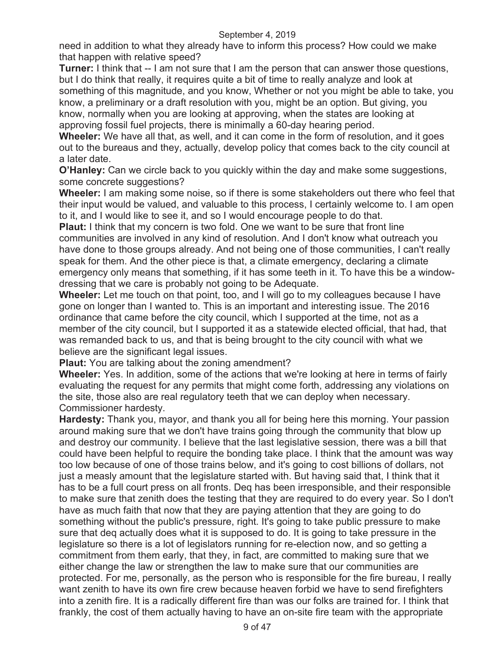need in addition to what they already have to inform this process? How could we make that happen with relative speed?

**Turner:** I think that -- I am not sure that I am the person that can answer those questions, but I do think that really, it requires quite a bit of time to really analyze and look at something of this magnitude, and you know, Whether or not you might be able to take, you know, a preliminary or a draft resolution with you, might be an option. But giving, you know, normally when you are looking at approving, when the states are looking at approving fossil fuel projects, there is minimally a 60-day hearing period.

**Wheeler:** We have all that, as well, and it can come in the form of resolution, and it goes out to the bureaus and they, actually, develop policy that comes back to the city council at a later date.

**O'Hanley:** Can we circle back to you quickly within the day and make some suggestions, some concrete suggestions?

**Wheeler:** I am making some noise, so if there is some stakeholders out there who feel that their input would be valued, and valuable to this process, I certainly welcome to. I am open to it, and I would like to see it, and so I would encourage people to do that.

**Plaut:** I think that my concern is two fold. One we want to be sure that front line communities are involved in any kind of resolution. And I don't know what outreach you have done to those groups already. And not being one of those communities, I can't really speak for them. And the other piece is that, a climate emergency, declaring a climate emergency only means that something, if it has some teeth in it. To have this be a windowdressing that we care is probably not going to be Adequate.

**Wheeler:** Let me touch on that point, too, and I will go to my colleagues because I have gone on longer than I wanted to. This is an important and interesting issue. The 2016 ordinance that came before the city council, which I supported at the time, not as a member of the city council, but I supported it as a statewide elected official, that had, that was remanded back to us, and that is being brought to the city council with what we believe are the significant legal issues.

**Plaut:** You are talking about the zoning amendment?

**Wheeler:** Yes. In addition, some of the actions that we're looking at here in terms of fairly evaluating the request for any permits that might come forth, addressing any violations on the site, those also are real regulatory teeth that we can deploy when necessary. Commissioner hardesty.

**Hardesty:** Thank you, mayor, and thank you all for being here this morning. Your passion around making sure that we don't have trains going through the community that blow up and destroy our community. I believe that the last legislative session, there was a bill that could have been helpful to require the bonding take place. I think that the amount was way too low because of one of those trains below, and it's going to cost billions of dollars, not just a measly amount that the legislature started with. But having said that, I think that it has to be a full court press on all fronts. Deq has been irresponsible, and their responsible to make sure that zenith does the testing that they are required to do every year. So I don't have as much faith that now that they are paying attention that they are going to do something without the public's pressure, right. It's going to take public pressure to make sure that deq actually does what it is supposed to do. It is going to take pressure in the legislature so there is a lot of legislators running for re-election now, and so getting a commitment from them early, that they, in fact, are committed to making sure that we either change the law or strengthen the law to make sure that our communities are protected. For me, personally, as the person who is responsible for the fire bureau, I really want zenith to have its own fire crew because heaven forbid we have to send firefighters into a zenith fire. It is a radically different fire than was our folks are trained for. I think that frankly, the cost of them actually having to have an on-site fire team with the appropriate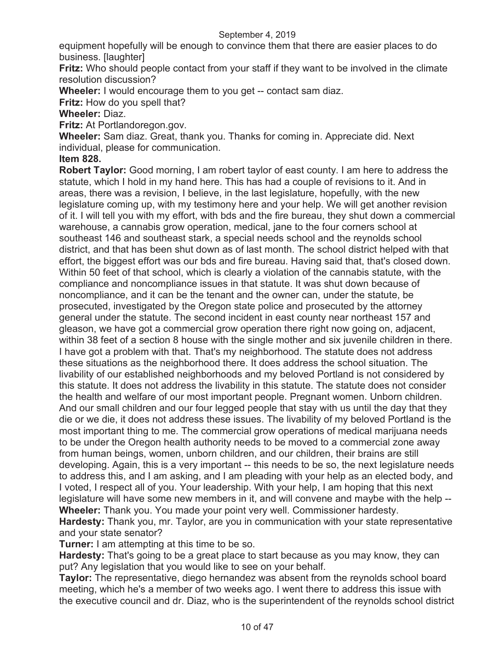equipment hopefully will be enough to convince them that there are easier places to do business. [laughter]

**Fritz:** Who should people contact from your staff if they want to be involved in the climate resolution discussion?

**Wheeler:** I would encourage them to you get -- contact sam diaz.

**Fritz:** How do you spell that?

**Wheeler:** Diaz.

**Fritz:** At Portlandoregon.gov.

**Wheeler:** Sam diaz. Great, thank you. Thanks for coming in. Appreciate did. Next individual, please for communication.

# **Item 828.**

**Robert Taylor:** Good morning, I am robert taylor of east county. I am here to address the statute, which I hold in my hand here. This has had a couple of revisions to it. And in areas, there was a revision, I believe, in the last legislature, hopefully, with the new legislature coming up, with my testimony here and your help. We will get another revision of it. I will tell you with my effort, with bds and the fire bureau, they shut down a commercial warehouse, a cannabis grow operation, medical, jane to the four corners school at southeast 146 and southeast stark, a special needs school and the reynolds school district, and that has been shut down as of last month. The school district helped with that effort, the biggest effort was our bds and fire bureau. Having said that, that's closed down. Within 50 feet of that school, which is clearly a violation of the cannabis statute, with the compliance and noncompliance issues in that statute. It was shut down because of noncompliance, and it can be the tenant and the owner can, under the statute, be prosecuted, investigated by the Oregon state police and prosecuted by the attorney general under the statute. The second incident in east county near northeast 157 and gleason, we have got a commercial grow operation there right now going on, adjacent, within 38 feet of a section 8 house with the single mother and six juvenile children in there. I have got a problem with that. That's my neighborhood. The statute does not address these situations as the neighborhood there. It does address the school situation. The livability of our established neighborhoods and my beloved Portland is not considered by this statute. It does not address the livability in this statute. The statute does not consider the health and welfare of our most important people. Pregnant women. Unborn children. And our small children and our four legged people that stay with us until the day that they die or we die, it does not address these issues. The livability of my beloved Portland is the most important thing to me. The commercial grow operations of medical marijuana needs to be under the Oregon health authority needs to be moved to a commercial zone away from human beings, women, unborn children, and our children, their brains are still developing. Again, this is a very important -- this needs to be so, the next legislature needs to address this, and I am asking, and I am pleading with your help as an elected body, and I voted, I respect all of you. Your leadership. With your help, I am hoping that this next legislature will have some new members in it, and will convene and maybe with the help -- **Wheeler:** Thank you. You made your point very well. Commissioner hardesty.

**Hardesty:** Thank you, mr. Taylor, are you in communication with your state representative and your state senator?

**Turner:** I am attempting at this time to be so.

**Hardesty:** That's going to be a great place to start because as you may know, they can put? Any legislation that you would like to see on your behalf.

**Taylor:** The representative, diego hernandez was absent from the reynolds school board meeting, which he's a member of two weeks ago. I went there to address this issue with the executive council and dr. Diaz, who is the superintendent of the reynolds school district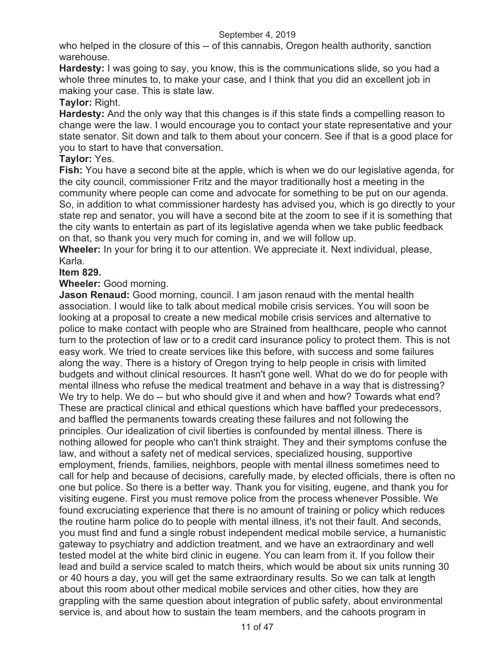who helped in the closure of this -- of this cannabis, Oregon health authority, sanction warehouse.

**Hardesty:** I was going to say, you know, this is the communications slide, so you had a whole three minutes to, to make your case, and I think that you did an excellent job in making your case. This is state law.

# **Taylor:** Right.

**Hardesty:** And the only way that this changes is if this state finds a compelling reason to change were the law. I would encourage you to contact your state representative and your state senator. Sit down and talk to them about your concern. See if that is a good place for you to start to have that conversation.

# **Taylor:** Yes.

**Fish:** You have a second bite at the apple, which is when we do our legislative agenda, for the city council, commissioner Fritz and the mayor traditionally host a meeting in the community where people can come and advocate for something to be put on our agenda. So, in addition to what commissioner hardesty has advised you, which is go directly to your state rep and senator, you will have a second bite at the zoom to see if it is something that the city wants to entertain as part of its legislative agenda when we take public feedback on that, so thank you very much for coming in, and we will follow up.

**Wheeler:** In your for bring it to our attention. We appreciate it. Next individual, please, Karla.

# **Item 829.**

# **Wheeler:** Good morning.

**Jason Renaud:** Good morning, council. I am jason renaud with the mental health association. I would like to talk about medical mobile crisis services. You will soon be looking at a proposal to create a new medical mobile crisis services and alternative to police to make contact with people who are Strained from healthcare, people who cannot turn to the protection of law or to a credit card insurance policy to protect them. This is not easy work. We tried to create services like this before, with success and some failures along the way. There is a history of Oregon trying to help people in crisis with limited budgets and without clinical resources. It hasn't gone well. What do we do for people with mental illness who refuse the medical treatment and behave in a way that is distressing? We try to help. We do -- but who should give it and when and how? Towards what end? These are practical clinical and ethical questions which have baffled your predecessors, and baffled the permanents towards creating these failures and not following the principles. Our idealization of civil liberties is confounded by mental illness. There is nothing allowed for people who can't think straight. They and their symptoms confuse the law, and without a safety net of medical services, specialized housing, supportive employment, friends, families, neighbors, people with mental illness sometimes need to call for help and because of decisions, carefully made, by elected officials, there is often no one but police. So there is a better way. Thank you for visiting, eugene, and thank you for visiting eugene. First you must remove police from the process whenever Possible. We found excruciating experience that there is no amount of training or policy which reduces the routine harm police do to people with mental illness, it's not their fault. And seconds, you must find and fund a single robust independent medical mobile service, a humanistic gateway to psychiatry and addiction treatment, and we have an extraordinary and well tested model at the white bird clinic in eugene. You can learn from it. If you follow their lead and build a service scaled to match theirs, which would be about six units running 30 or 40 hours a day, you will get the same extraordinary results. So we can talk at length about this room about other medical mobile services and other cities, how they are grappling with the same question about integration of public safety, about environmental service is, and about how to sustain the team members, and the cahoots program in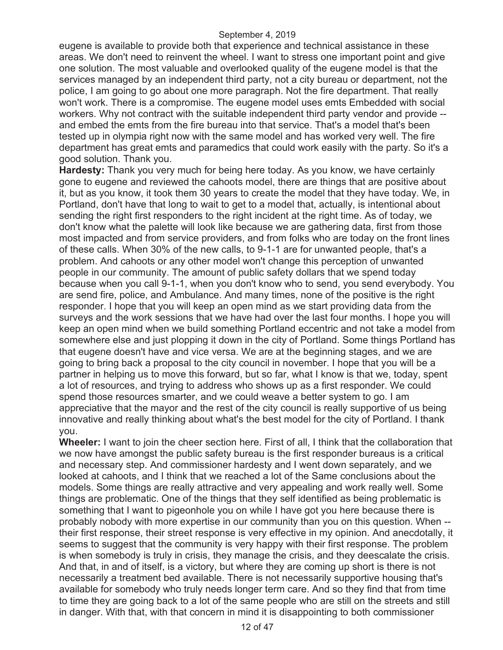eugene is available to provide both that experience and technical assistance in these areas. We don't need to reinvent the wheel. I want to stress one important point and give one solution. The most valuable and overlooked quality of the eugene model is that the services managed by an independent third party, not a city bureau or department, not the police, I am going to go about one more paragraph. Not the fire department. That really won't work. There is a compromise. The eugene model uses emts Embedded with social workers. Why not contract with the suitable independent third party vendor and provide - and embed the emts from the fire bureau into that service. That's a model that's been tested up in olympia right now with the same model and has worked very well. The fire department has great emts and paramedics that could work easily with the party. So it's a good solution. Thank you.

**Hardesty:** Thank you very much for being here today. As you know, we have certainly gone to eugene and reviewed the cahoots model, there are things that are positive about it, but as you know, it took them 30 years to create the model that they have today. We, in Portland, don't have that long to wait to get to a model that, actually, is intentional about sending the right first responders to the right incident at the right time. As of today, we don't know what the palette will look like because we are gathering data, first from those most impacted and from service providers, and from folks who are today on the front lines of these calls. When 30% of the new calls, to 9-1-1 are for unwanted people, that's a problem. And cahoots or any other model won't change this perception of unwanted people in our community. The amount of public safety dollars that we spend today because when you call 9-1-1, when you don't know who to send, you send everybody. You are send fire, police, and Ambulance. And many times, none of the positive is the right responder. I hope that you will keep an open mind as we start providing data from the surveys and the work sessions that we have had over the last four months. I hope you will keep an open mind when we build something Portland eccentric and not take a model from somewhere else and just plopping it down in the city of Portland. Some things Portland has that eugene doesn't have and vice versa. We are at the beginning stages, and we are going to bring back a proposal to the city council in november. I hope that you will be a partner in helping us to move this forward, but so far, what I know is that we, today, spent a lot of resources, and trying to address who shows up as a first responder. We could spend those resources smarter, and we could weave a better system to go. I am appreciative that the mayor and the rest of the city council is really supportive of us being innovative and really thinking about what's the best model for the city of Portland. I thank you.

**Wheeler:** I want to join the cheer section here. First of all, I think that the collaboration that we now have amongst the public safety bureau is the first responder bureaus is a critical and necessary step. And commissioner hardesty and I went down separately, and we looked at cahoots, and I think that we reached a lot of the Same conclusions about the models. Some things are really attractive and very appealing and work really well. Some things are problematic. One of the things that they self identified as being problematic is something that I want to pigeonhole you on while I have got you here because there is probably nobody with more expertise in our community than you on this question. When - their first response, their street response is very effective in my opinion. And anecdotally, it seems to suggest that the community is very happy with their first response. The problem is when somebody is truly in crisis, they manage the crisis, and they deescalate the crisis. And that, in and of itself, is a victory, but where they are coming up short is there is not necessarily a treatment bed available. There is not necessarily supportive housing that's available for somebody who truly needs longer term care. And so they find that from time to time they are going back to a lot of the same people who are still on the streets and still in danger. With that, with that concern in mind it is disappointing to both commissioner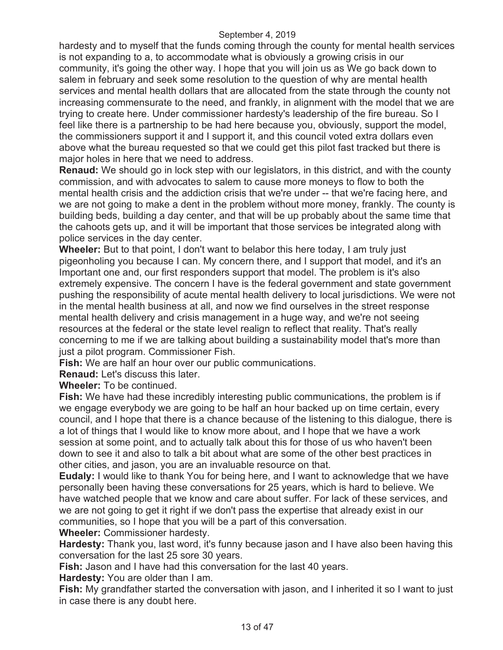hardesty and to myself that the funds coming through the county for mental health services is not expanding to a, to accommodate what is obviously a growing crisis in our community, it's going the other way. I hope that you will join us as We go back down to salem in february and seek some resolution to the question of why are mental health services and mental health dollars that are allocated from the state through the county not increasing commensurate to the need, and frankly, in alignment with the model that we are trying to create here. Under commissioner hardesty's leadership of the fire bureau. So I feel like there is a partnership to be had here because you, obviously, support the model, the commissioners support it and I support it, and this council voted extra dollars even above what the bureau requested so that we could get this pilot fast tracked but there is major holes in here that we need to address.

**Renaud:** We should go in lock step with our legislators, in this district, and with the county commission, and with advocates to salem to cause more moneys to flow to both the mental health crisis and the addiction crisis that we're under -- that we're facing here, and we are not going to make a dent in the problem without more money, frankly. The county is building beds, building a day center, and that will be up probably about the same time that the cahoots gets up, and it will be important that those services be integrated along with police services in the day center.

**Wheeler:** But to that point, I don't want to belabor this here today, I am truly just pigeonholing you because I can. My concern there, and I support that model, and it's an Important one and, our first responders support that model. The problem is it's also extremely expensive. The concern I have is the federal government and state government pushing the responsibility of acute mental health delivery to local jurisdictions. We were not in the mental health business at all, and now we find ourselves in the street response mental health delivery and crisis management in a huge way, and we're not seeing resources at the federal or the state level realign to reflect that reality. That's really concerning to me if we are talking about building a sustainability model that's more than just a pilot program. Commissioner Fish.

**Fish:** We are half an hour over our public communications.

**Renaud:** Let's discuss this later.

**Wheeler:** To be continued.

**Fish:** We have had these incredibly interesting public communications, the problem is if we engage everybody we are going to be half an hour backed up on time certain, every council, and I hope that there is a chance because of the listening to this dialogue, there is a lot of things that I would like to know more about, and I hope that we have a work session at some point, and to actually talk about this for those of us who haven't been down to see it and also to talk a bit about what are some of the other best practices in other cities, and jason, you are an invaluable resource on that.

**Eudaly:** I would like to thank You for being here, and I want to acknowledge that we have personally been having these conversations for 25 years, which is hard to believe. We have watched people that we know and care about suffer. For lack of these services, and we are not going to get it right if we don't pass the expertise that already exist in our communities, so I hope that you will be a part of this conversation.

**Wheeler:** Commissioner hardesty.

**Hardesty:** Thank you, last word, it's funny because jason and I have also been having this conversation for the last 25 sore 30 years.

**Fish:** Jason and I have had this conversation for the last 40 years.

**Hardesty:** You are older than I am.

**Fish:** My grandfather started the conversation with jason, and I inherited it so I want to just in case there is any doubt here.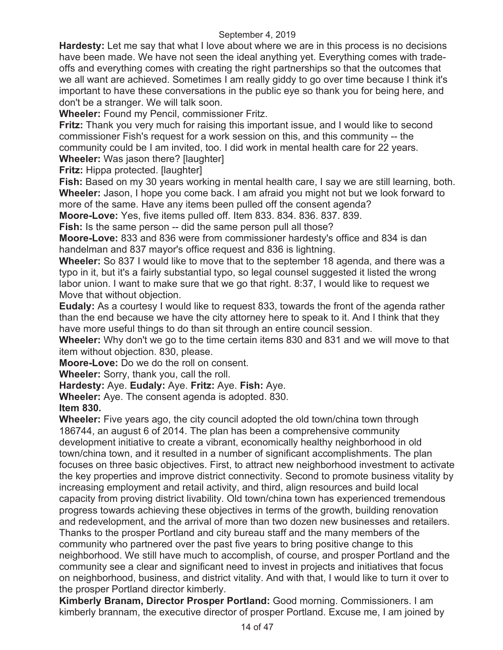**Hardesty:** Let me say that what I love about where we are in this process is no decisions have been made. We have not seen the ideal anything yet. Everything comes with tradeoffs and everything comes with creating the right partnerships so that the outcomes that we all want are achieved. Sometimes I am really giddy to go over time because I think it's important to have these conversations in the public eye so thank you for being here, and don't be a stranger. We will talk soon.

**Wheeler:** Found my Pencil, commissioner Fritz.

**Fritz:** Thank you very much for raising this important issue, and I would like to second commissioner Fish's request for a work session on this, and this community -- the community could be I am invited, too. I did work in mental health care for 22 years.

**Wheeler:** Was jason there? [laughter]

**Fritz:** Hippa protected. [laughter]

**Fish:** Based on my 30 years working in mental health care, I say we are still learning, both. **Wheeler:** Jason, I hope you come back. I am afraid you might not but we look forward to more of the same. Have any items been pulled off the consent agenda?

**Moore-Love:** Yes, five items pulled off. Item 833. 834. 836. 837. 839.

**Fish:** Is the same person -- did the same person pull all those?

**Moore-Love:** 833 and 836 were from commissioner hardesty's office and 834 is dan handelman and 837 mayor's office request and 836 is lightning.

**Wheeler:** So 837 I would like to move that to the september 18 agenda, and there was a typo in it, but it's a fairly substantial typo, so legal counsel suggested it listed the wrong labor union. I want to make sure that we go that right. 8:37, I would like to request we Move that without objection.

**Eudaly:** As a courtesy I would like to request 833, towards the front of the agenda rather than the end because we have the city attorney here to speak to it. And I think that they have more useful things to do than sit through an entire council session.

**Wheeler:** Why don't we go to the time certain items 830 and 831 and we will move to that item without objection. 830, please.

**Moore-Love:** Do we do the roll on consent.

**Wheeler:** Sorry, thank you, call the roll.

**Hardesty:** Aye. **Eudaly:** Aye. **Fritz:** Aye. **Fish:** Aye.

**Wheeler:** Aye. The consent agenda is adopted. 830.

**Item 830.** 

**Wheeler:** Five years ago, the city council adopted the old town/china town through 186744, an august 6 of 2014. The plan has been a comprehensive community development initiative to create a vibrant, economically healthy neighborhood in old town/china town, and it resulted in a number of significant accomplishments. The plan focuses on three basic objectives. First, to attract new neighborhood investment to activate the key properties and improve district connectivity. Second to promote business vitality by increasing employment and retail activity, and third, align resources and build local capacity from proving district livability. Old town/china town has experienced tremendous progress towards achieving these objectives in terms of the growth, building renovation and redevelopment, and the arrival of more than two dozen new businesses and retailers. Thanks to the prosper Portland and city bureau staff and the many members of the community who partnered over the past five years to bring positive change to this neighborhood. We still have much to accomplish, of course, and prosper Portland and the community see a clear and significant need to invest in projects and initiatives that focus on neighborhood, business, and district vitality. And with that, I would like to turn it over to the prosper Portland director kimberly.

**Kimberly Branam, Director Prosper Portland:** Good morning. Commissioners. I am kimberly brannam, the executive director of prosper Portland. Excuse me, I am joined by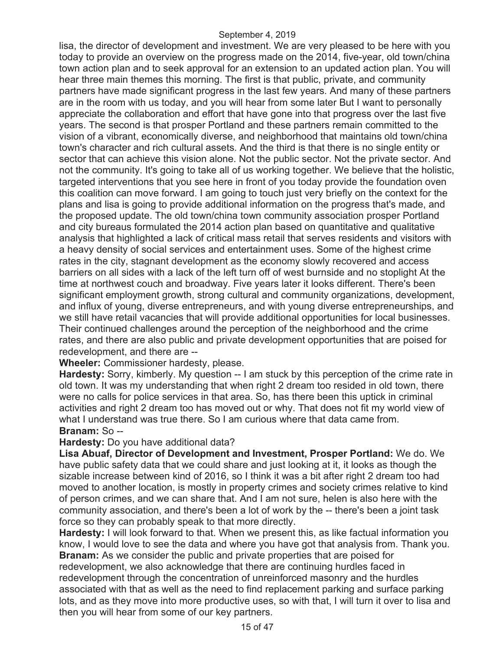lisa, the director of development and investment. We are very pleased to be here with you today to provide an overview on the progress made on the 2014, five-year, old town/china town action plan and to seek approval for an extension to an updated action plan. You will hear three main themes this morning. The first is that public, private, and community partners have made significant progress in the last few years. And many of these partners are in the room with us today, and you will hear from some later But I want to personally appreciate the collaboration and effort that have gone into that progress over the last five years. The second is that prosper Portland and these partners remain committed to the vision of a vibrant, economically diverse, and neighborhood that maintains old town/china town's character and rich cultural assets. And the third is that there is no single entity or sector that can achieve this vision alone. Not the public sector. Not the private sector. And not the community. It's going to take all of us working together. We believe that the holistic, targeted interventions that you see here in front of you today provide the foundation oven this coalition can move forward. I am going to touch just very briefly on the context for the plans and lisa is going to provide additional information on the progress that's made, and the proposed update. The old town/china town community association prosper Portland and city bureaus formulated the 2014 action plan based on quantitative and qualitative analysis that highlighted a lack of critical mass retail that serves residents and visitors with a heavy density of social services and entertainment uses. Some of the highest crime rates in the city, stagnant development as the economy slowly recovered and access barriers on all sides with a lack of the left turn off of west burnside and no stoplight At the time at northwest couch and broadway. Five years later it looks different. There's been significant employment growth, strong cultural and community organizations, development, and influx of young, diverse entrepreneurs, and with young diverse entrepreneurships, and we still have retail vacancies that will provide additional opportunities for local businesses. Their continued challenges around the perception of the neighborhood and the crime rates, and there are also public and private development opportunities that are poised for redevelopment, and there are --

# **Wheeler:** Commissioner hardesty, please.

**Hardesty:** Sorry, kimberly. My question -- I am stuck by this perception of the crime rate in old town. It was my understanding that when right 2 dream too resided in old town, there were no calls for police services in that area. So, has there been this uptick in criminal activities and right 2 dream too has moved out or why. That does not fit my world view of what I understand was true there. So I am curious where that data came from. **Branam:** So --

#### **Hardesty:** Do you have additional data?

**Lisa Abuaf, Director of Development and Investment, Prosper Portland:** We do. We have public safety data that we could share and just looking at it, it looks as though the sizable increase between kind of 2016, so I think it was a bit after right 2 dream too had moved to another location, is mostly in property crimes and society crimes relative to kind of person crimes, and we can share that. And I am not sure, helen is also here with the community association, and there's been a lot of work by the -- there's been a joint task force so they can probably speak to that more directly.

**Hardesty:** I will look forward to that. When we present this, as like factual information you know, I would love to see the data and where you have got that analysis from. Thank you. **Branam:** As we consider the public and private properties that are poised for redevelopment, we also acknowledge that there are continuing hurdles faced in redevelopment through the concentration of unreinforced masonry and the hurdles associated with that as well as the need to find replacement parking and surface parking lots, and as they move into more productive uses, so with that, I will turn it over to lisa and then you will hear from some of our key partners.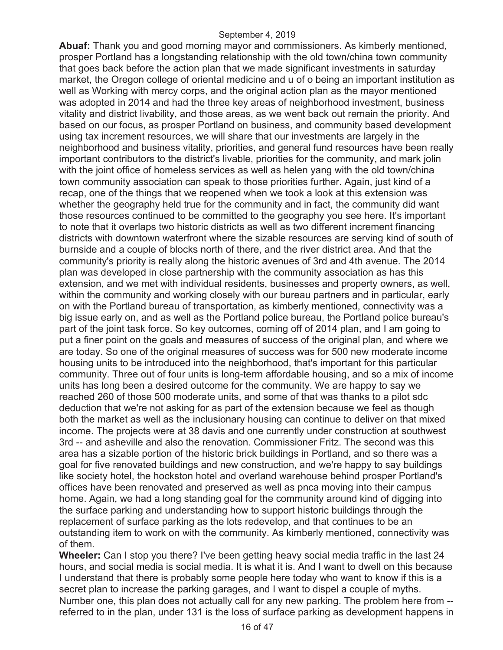**Abuaf:** Thank you and good morning mayor and commissioners. As kimberly mentioned, prosper Portland has a longstanding relationship with the old town/china town community that goes back before the action plan that we made significant investments in saturday market, the Oregon college of oriental medicine and u of o being an important institution as well as Working with mercy corps, and the original action plan as the mayor mentioned was adopted in 2014 and had the three key areas of neighborhood investment, business vitality and district livability, and those areas, as we went back out remain the priority. And based on our focus, as prosper Portland on business, and community based development using tax increment resources, we will share that our investments are largely in the neighborhood and business vitality, priorities, and general fund resources have been really important contributors to the district's livable, priorities for the community, and mark jolin with the joint office of homeless services as well as helen yang with the old town/china town community association can speak to those priorities further. Again, just kind of a recap, one of the things that we reopened when we took a look at this extension was whether the geography held true for the community and in fact, the community did want those resources continued to be committed to the geography you see here. It's important to note that it overlaps two historic districts as well as two different increment financing districts with downtown waterfront where the sizable resources are serving kind of south of burnside and a couple of blocks north of there, and the river district area. And that the community's priority is really along the historic avenues of 3rd and 4th avenue. The 2014 plan was developed in close partnership with the community association as has this extension, and we met with individual residents, businesses and property owners, as well, within the community and working closely with our bureau partners and in particular, early on with the Portland bureau of transportation, as kimberly mentioned, connectivity was a big issue early on, and as well as the Portland police bureau, the Portland police bureau's part of the joint task force. So key outcomes, coming off of 2014 plan, and I am going to put a finer point on the goals and measures of success of the original plan, and where we are today. So one of the original measures of success was for 500 new moderate income housing units to be introduced into the neighborhood, that's important for this particular community. Three out of four units is long-term affordable housing, and so a mix of income units has long been a desired outcome for the community. We are happy to say we reached 260 of those 500 moderate units, and some of that was thanks to a pilot sdc deduction that we're not asking for as part of the extension because we feel as though both the market as well as the inclusionary housing can continue to deliver on that mixed income. The projects were at 38 davis and one currently under construction at southwest 3rd -- and asheville and also the renovation. Commissioner Fritz. The second was this area has a sizable portion of the historic brick buildings in Portland, and so there was a goal for five renovated buildings and new construction, and we're happy to say buildings like society hotel, the hockston hotel and overland warehouse behind prosper Portland's offices have been renovated and preserved as well as pnca moving into their campus home. Again, we had a long standing goal for the community around kind of digging into the surface parking and understanding how to support historic buildings through the replacement of surface parking as the lots redevelop, and that continues to be an outstanding item to work on with the community. As kimberly mentioned, connectivity was of them.

**Wheeler:** Can I stop you there? I've been getting heavy social media traffic in the last 24 hours, and social media is social media. It is what it is. And I want to dwell on this because I understand that there is probably some people here today who want to know if this is a secret plan to increase the parking garages, and I want to dispel a couple of myths. Number one, this plan does not actually call for any new parking. The problem here from - referred to in the plan, under 131 is the loss of surface parking as development happens in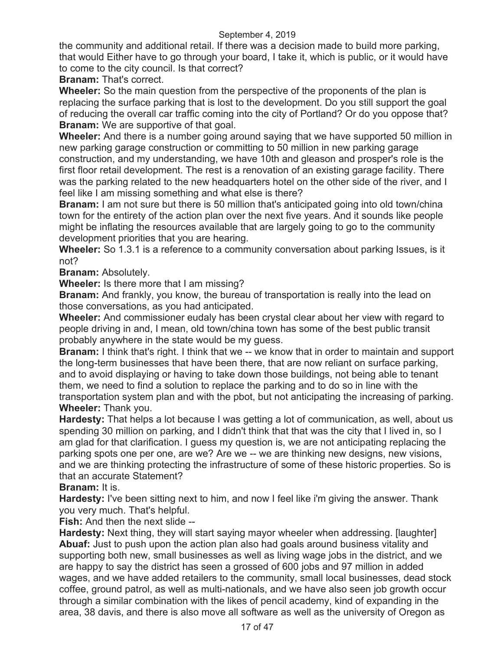the community and additional retail. If there was a decision made to build more parking, that would Either have to go through your board, I take it, which is public, or it would have to come to the city council. Is that correct?

**Branam:** That's correct.

**Wheeler:** So the main question from the perspective of the proponents of the plan is replacing the surface parking that is lost to the development. Do you still support the goal of reducing the overall car traffic coming into the city of Portland? Or do you oppose that? **Branam:** We are supportive of that goal.

**Wheeler:** And there is a number going around saying that we have supported 50 million in new parking garage construction or committing to 50 million in new parking garage construction, and my understanding, we have 10th and gleason and prosper's role is the first floor retail development. The rest is a renovation of an existing garage facility. There was the parking related to the new headquarters hotel on the other side of the river, and I feel like I am missing something and what else is there?

**Branam:** I am not sure but there is 50 million that's anticipated going into old town/china town for the entirety of the action plan over the next five years. And it sounds like people might be inflating the resources available that are largely going to go to the community development priorities that you are hearing.

**Wheeler:** So 1.3.1 is a reference to a community conversation about parking Issues, is it not?

**Branam:** Absolutely.

**Wheeler:** Is there more that I am missing?

**Branam:** And frankly, you know, the bureau of transportation is really into the lead on those conversations, as you had anticipated.

**Wheeler:** And commissioner eudaly has been crystal clear about her view with regard to people driving in and, I mean, old town/china town has some of the best public transit probably anywhere in the state would be my guess.

**Branam:** I think that's right. I think that we -- we know that in order to maintain and support the long-term businesses that have been there, that are now reliant on surface parking, and to avoid displaying or having to take down those buildings, not being able to tenant them, we need to find a solution to replace the parking and to do so in line with the transportation system plan and with the pbot, but not anticipating the increasing of parking. **Wheeler:** Thank you.

**Hardesty:** That helps a lot because I was getting a lot of communication, as well, about us spending 30 million on parking, and I didn't think that that was the city that I lived in, so I am glad for that clarification. I guess my question is, we are not anticipating replacing the parking spots one per one, are we? Are we -- we are thinking new designs, new visions, and we are thinking protecting the infrastructure of some of these historic properties. So is that an accurate Statement?

# **Branam:** It is.

**Hardesty:** I've been sitting next to him, and now I feel like i'm giving the answer. Thank you very much. That's helpful.

**Fish:** And then the next slide --

**Hardesty:** Next thing, they will start saying mayor wheeler when addressing. [laughter] **Abuaf:** Just to push upon the action plan also had goals around business vitality and supporting both new, small businesses as well as living wage jobs in the district, and we are happy to say the district has seen a grossed of 600 jobs and 97 million in added wages, and we have added retailers to the community, small local businesses, dead stock coffee, ground patrol, as well as multi-nationals, and we have also seen job growth occur through a similar combination with the likes of pencil academy, kind of expanding in the area, 38 davis, and there is also move all software as well as the university of Oregon as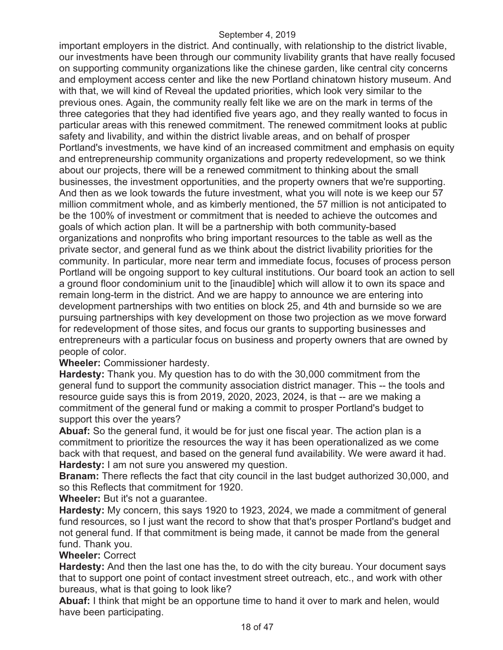important employers in the district. And continually, with relationship to the district livable, our investments have been through our community livability grants that have really focused on supporting community organizations like the chinese garden, like central city concerns and employment access center and like the new Portland chinatown history museum. And with that, we will kind of Reveal the updated priorities, which look very similar to the previous ones. Again, the community really felt like we are on the mark in terms of the three categories that they had identified five years ago, and they really wanted to focus in particular areas with this renewed commitment. The renewed commitment looks at public safety and livability, and within the district livable areas, and on behalf of prosper Portland's investments, we have kind of an increased commitment and emphasis on equity and entrepreneurship community organizations and property redevelopment, so we think about our projects, there will be a renewed commitment to thinking about the small businesses, the investment opportunities, and the property owners that we're supporting. And then as we look towards the future investment, what you will note is we keep our 57 million commitment whole, and as kimberly mentioned, the 57 million is not anticipated to be the 100% of investment or commitment that is needed to achieve the outcomes and goals of which action plan. It will be a partnership with both community-based organizations and nonprofits who bring important resources to the table as well as the private sector, and general fund as we think about the district livability priorities for the community. In particular, more near term and immediate focus, focuses of process person Portland will be ongoing support to key cultural institutions. Our board took an action to sell a ground floor condominium unit to the [inaudible] which will allow it to own its space and remain long-term in the district. And we are happy to announce we are entering into development partnerships with two entities on block 25, and 4th and burnside so we are pursuing partnerships with key development on those two projection as we move forward for redevelopment of those sites, and focus our grants to supporting businesses and entrepreneurs with a particular focus on business and property owners that are owned by people of color.

**Wheeler:** Commissioner hardesty.

**Hardesty:** Thank you. My question has to do with the 30,000 commitment from the general fund to support the community association district manager. This -- the tools and resource guide says this is from 2019, 2020, 2023, 2024, is that -- are we making a commitment of the general fund or making a commit to prosper Portland's budget to support this over the years?

**Abuaf:** So the general fund, it would be for just one fiscal year. The action plan is a commitment to prioritize the resources the way it has been operationalized as we come back with that request, and based on the general fund availability. We were award it had. **Hardesty:** I am not sure you answered my question.

**Branam:** There reflects the fact that city council in the last budget authorized 30,000, and so this Reflects that commitment for 1920.

#### **Wheeler:** But it's not a guarantee.

**Hardesty:** My concern, this says 1920 to 1923, 2024, we made a commitment of general fund resources, so I just want the record to show that that's prosper Portland's budget and not general fund. If that commitment is being made, it cannot be made from the general fund. Thank you.

# **Wheeler:** Correct

**Hardesty:** And then the last one has the, to do with the city bureau. Your document says that to support one point of contact investment street outreach, etc., and work with other bureaus, what is that going to look like?

**Abuaf:** I think that might be an opportune time to hand it over to mark and helen, would have been participating.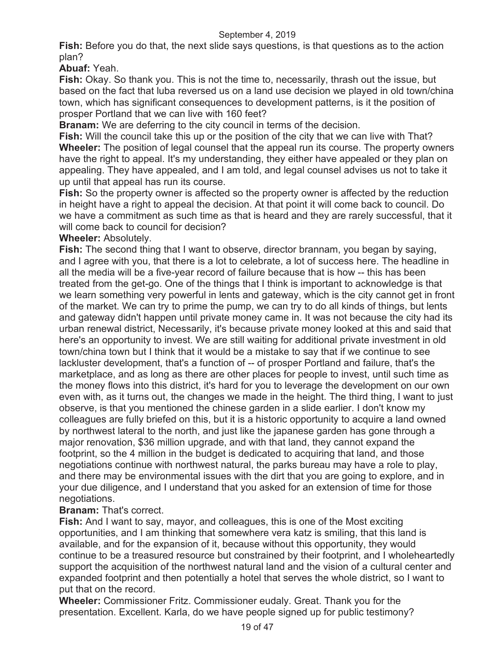**Fish:** Before you do that, the next slide says questions, is that questions as to the action plan?

**Abuaf:** Yeah.

**Fish:** Okay. So thank you. This is not the time to, necessarily, thrash out the issue, but based on the fact that luba reversed us on a land use decision we played in old town/china town, which has significant consequences to development patterns, is it the position of prosper Portland that we can live with 160 feet?

**Branam:** We are deferring to the city council in terms of the decision.

**Fish:** Will the council take this up or the position of the city that we can live with That? **Wheeler:** The position of legal counsel that the appeal run its course. The property owners have the right to appeal. It's my understanding, they either have appealed or they plan on appealing. They have appealed, and I am told, and legal counsel advises us not to take it up until that appeal has run its course.

**Fish:** So the property owner is affected so the property owner is affected by the reduction in height have a right to appeal the decision. At that point it will come back to council. Do we have a commitment as such time as that is heard and they are rarely successful, that it will come back to council for decision?

# **Wheeler:** Absolutely.

**Fish:** The second thing that I want to observe, director brannam, you began by saying, and I agree with you, that there is a lot to celebrate, a lot of success here. The headline in all the media will be a five-year record of failure because that is how -- this has been treated from the get-go. One of the things that I think is important to acknowledge is that we learn something very powerful in lents and gateway, which is the city cannot get in front of the market. We can try to prime the pump, we can try to do all kinds of things, but lents and gateway didn't happen until private money came in. It was not because the city had its urban renewal district, Necessarily, it's because private money looked at this and said that here's an opportunity to invest. We are still waiting for additional private investment in old town/china town but I think that it would be a mistake to say that if we continue to see lackluster development, that's a function of -- of prosper Portland and failure, that's the marketplace, and as long as there are other places for people to invest, until such time as the money flows into this district, it's hard for you to leverage the development on our own even with, as it turns out, the changes we made in the height. The third thing, I want to just observe, is that you mentioned the chinese garden in a slide earlier. I don't know my colleagues are fully briefed on this, but it is a historic opportunity to acquire a land owned by northwest lateral to the north, and just like the japanese garden has gone through a major renovation, \$36 million upgrade, and with that land, they cannot expand the footprint, so the 4 million in the budget is dedicated to acquiring that land, and those negotiations continue with northwest natural, the parks bureau may have a role to play, and there may be environmental issues with the dirt that you are going to explore, and in your due diligence, and I understand that you asked for an extension of time for those negotiations.

# **Branam:** That's correct.

**Fish:** And I want to say, mayor, and colleagues, this is one of the Most exciting opportunities, and I am thinking that somewhere vera katz is smiling, that this land is available, and for the expansion of it, because without this opportunity, they would continue to be a treasured resource but constrained by their footprint, and I wholeheartedly support the acquisition of the northwest natural land and the vision of a cultural center and expanded footprint and then potentially a hotel that serves the whole district, so I want to put that on the record.

**Wheeler:** Commissioner Fritz. Commissioner eudaly. Great. Thank you for the presentation. Excellent. Karla, do we have people signed up for public testimony?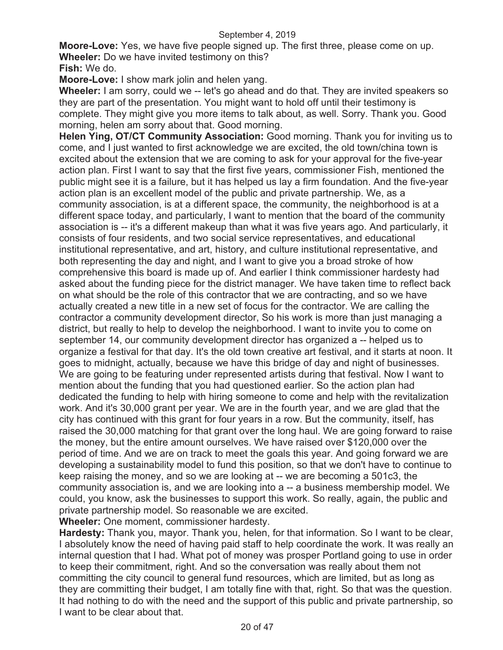**Moore-Love:** Yes, we have five people signed up. The first three, please come on up. **Wheeler:** Do we have invited testimony on this?

**Fish:** We do.

**Moore-Love:** I show mark jolin and helen yang.

**Wheeler:** I am sorry, could we -- let's go ahead and do that. They are invited speakers so they are part of the presentation. You might want to hold off until their testimony is complete. They might give you more items to talk about, as well. Sorry. Thank you. Good morning, helen am sorry about that. Good morning.

**Helen Ying, OT/CT Community Association:** Good morning. Thank you for inviting us to come, and I just wanted to first acknowledge we are excited, the old town/china town is excited about the extension that we are coming to ask for your approval for the five-year action plan. First I want to say that the first five years, commissioner Fish, mentioned the public might see it is a failure, but it has helped us lay a firm foundation. And the five-year action plan is an excellent model of the public and private partnership. We, as a community association, is at a different space, the community, the neighborhood is at a different space today, and particularly, I want to mention that the board of the community association is -- it's a different makeup than what it was five years ago. And particularly, it consists of four residents, and two social service representatives, and educational institutional representative, and art, history, and culture institutional representative, and both representing the day and night, and I want to give you a broad stroke of how comprehensive this board is made up of. And earlier I think commissioner hardesty had asked about the funding piece for the district manager. We have taken time to reflect back on what should be the role of this contractor that we are contracting, and so we have actually created a new title in a new set of focus for the contractor. We are calling the contractor a community development director, So his work is more than just managing a district, but really to help to develop the neighborhood. I want to invite you to come on september 14, our community development director has organized a -- helped us to organize a festival for that day. It's the old town creative art festival, and it starts at noon. It goes to midnight, actually, because we have this bridge of day and night of businesses. We are going to be featuring under represented artists during that festival. Now I want to mention about the funding that you had questioned earlier. So the action plan had dedicated the funding to help with hiring someone to come and help with the revitalization work. And it's 30,000 grant per year. We are in the fourth year, and we are glad that the city has continued with this grant for four years in a row. But the community, itself, has raised the 30,000 matching for that grant over the long haul. We are going forward to raise the money, but the entire amount ourselves. We have raised over \$120,000 over the period of time. And we are on track to meet the goals this year. And going forward we are developing a sustainability model to fund this position, so that we don't have to continue to keep raising the money, and so we are looking at -- we are becoming a 501c3, the community association is, and we are looking into a -- a business membership model. We could, you know, ask the businesses to support this work. So really, again, the public and private partnership model. So reasonable we are excited.

**Wheeler:** One moment, commissioner hardesty.

**Hardesty:** Thank you, mayor. Thank you, helen, for that information. So I want to be clear, I absolutely know the need of having paid staff to help coordinate the work. It was really an internal question that I had. What pot of money was prosper Portland going to use in order to keep their commitment, right. And so the conversation was really about them not committing the city council to general fund resources, which are limited, but as long as they are committing their budget, I am totally fine with that, right. So that was the question. It had nothing to do with the need and the support of this public and private partnership, so I want to be clear about that.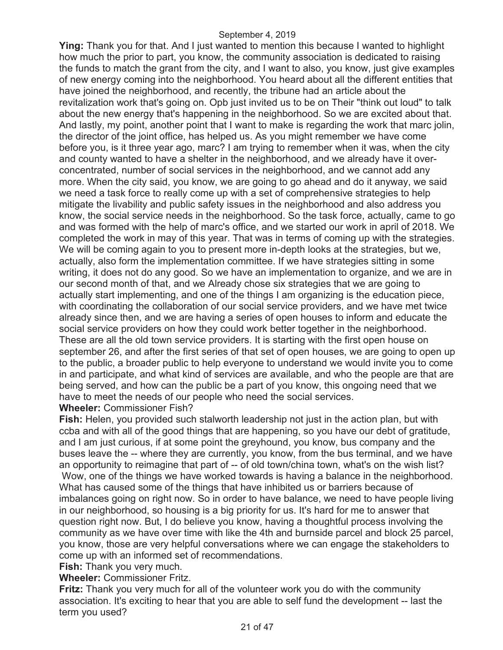**Ying:** Thank you for that. And I just wanted to mention this because I wanted to highlight how much the prior to part, you know, the community association is dedicated to raising the funds to match the grant from the city, and I want to also, you know, just give examples of new energy coming into the neighborhood. You heard about all the different entities that have joined the neighborhood, and recently, the tribune had an article about the revitalization work that's going on. Opb just invited us to be on Their "think out loud" to talk about the new energy that's happening in the neighborhood. So we are excited about that. And lastly, my point, another point that I want to make is regarding the work that marc jolin, the director of the joint office, has helped us. As you might remember we have come before you, is it three year ago, marc? I am trying to remember when it was, when the city and county wanted to have a shelter in the neighborhood, and we already have it overconcentrated, number of social services in the neighborhood, and we cannot add any more. When the city said, you know, we are going to go ahead and do it anyway, we said we need a task force to really come up with a set of comprehensive strategies to help mitigate the livability and public safety issues in the neighborhood and also address you know, the social service needs in the neighborhood. So the task force, actually, came to go and was formed with the help of marc's office, and we started our work in april of 2018. We completed the work in may of this year. That was in terms of coming up with the strategies. We will be coming again to you to present more in-depth looks at the strategies, but we, actually, also form the implementation committee. If we have strategies sitting in some writing, it does not do any good. So we have an implementation to organize, and we are in our second month of that, and we Already chose six strategies that we are going to actually start implementing, and one of the things I am organizing is the education piece, with coordinating the collaboration of our social service providers, and we have met twice already since then, and we are having a series of open houses to inform and educate the social service providers on how they could work better together in the neighborhood. These are all the old town service providers. It is starting with the first open house on september 26, and after the first series of that set of open houses, we are going to open up to the public, a broader public to help everyone to understand we would invite you to come in and participate, and what kind of services are available, and who the people are that are being served, and how can the public be a part of you know, this ongoing need that we have to meet the needs of our people who need the social services.

#### **Wheeler:** Commissioner Fish?

**Fish:** Helen, you provided such stalworth leadership not just in the action plan, but with ccba and with all of the good things that are happening, so you have our debt of gratitude, and I am just curious, if at some point the greyhound, you know, bus company and the buses leave the -- where they are currently, you know, from the bus terminal, and we have an opportunity to reimagine that part of -- of old town/china town, what's on the wish list? Wow, one of the things we have worked towards is having a balance in the neighborhood. What has caused some of the things that have inhibited us or barriers because of imbalances going on right now. So in order to have balance, we need to have people living in our neighborhood, so housing is a big priority for us. It's hard for me to answer that question right now. But, I do believe you know, having a thoughtful process involving the community as we have over time with like the 4th and burnside parcel and block 25 parcel, you know, those are very helpful conversations where we can engage the stakeholders to come up with an informed set of recommendations.

#### **Fish:** Thank you very much.

**Wheeler:** Commissioner Fritz.

**Fritz:** Thank you very much for all of the volunteer work you do with the community association. It's exciting to hear that you are able to self fund the development -- last the term you used?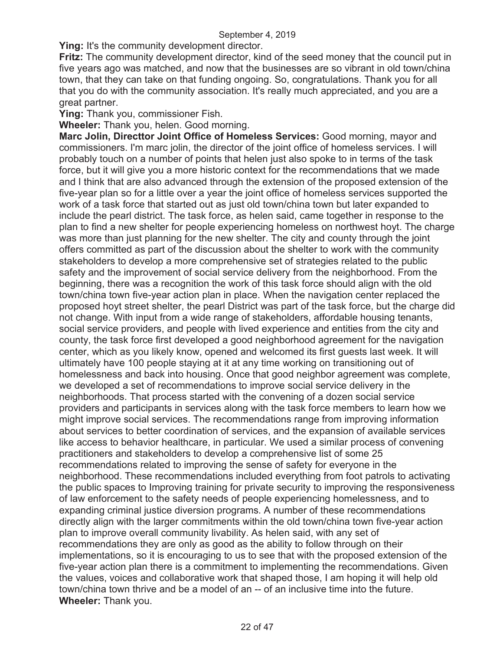**Ying:** It's the community development director.

**Fritz:** The community development director, kind of the seed money that the council put in five years ago was matched, and now that the businesses are so vibrant in old town/china town, that they can take on that funding ongoing. So, congratulations. Thank you for all that you do with the community association. It's really much appreciated, and you are a great partner.

**Ying:** Thank you, commissioner Fish.

**Wheeler:** Thank you, helen. Good morning.

**Marc Jolin, Directtor Joint Office of Homeless Services:** Good morning, mayor and commissioners. I'm marc jolin, the director of the joint office of homeless services. I will probably touch on a number of points that helen just also spoke to in terms of the task force, but it will give you a more historic context for the recommendations that we made and I think that are also advanced through the extension of the proposed extension of the five-year plan so for a little over a year the joint office of homeless services supported the work of a task force that started out as just old town/china town but later expanded to include the pearl district. The task force, as helen said, came together in response to the plan to find a new shelter for people experiencing homeless on northwest hoyt. The charge was more than just planning for the new shelter. The city and county through the joint offers committed as part of the discussion about the shelter to work with the community stakeholders to develop a more comprehensive set of strategies related to the public safety and the improvement of social service delivery from the neighborhood. From the beginning, there was a recognition the work of this task force should align with the old town/china town five-year action plan in place. When the navigation center replaced the proposed hoyt street shelter, the pearl District was part of the task force, but the charge did not change. With input from a wide range of stakeholders, affordable housing tenants, social service providers, and people with lived experience and entities from the city and county, the task force first developed a good neighborhood agreement for the navigation center, which as you likely know, opened and welcomed its first guests last week. It will ultimately have 100 people staying at it at any time working on transitioning out of homelessness and back into housing. Once that good neighbor agreement was complete, we developed a set of recommendations to improve social service delivery in the neighborhoods. That process started with the convening of a dozen social service providers and participants in services along with the task force members to learn how we might improve social services. The recommendations range from improving information about services to better coordination of services, and the expansion of available services like access to behavior healthcare, in particular. We used a similar process of convening practitioners and stakeholders to develop a comprehensive list of some 25 recommendations related to improving the sense of safety for everyone in the neighborhood. These recommendations included everything from foot patrols to activating the public spaces to Improving training for private security to improving the responsiveness of law enforcement to the safety needs of people experiencing homelessness, and to expanding criminal justice diversion programs. A number of these recommendations directly align with the larger commitments within the old town/china town five-year action plan to improve overall community livability. As helen said, with any set of recommendations they are only as good as the ability to follow through on their implementations, so it is encouraging to us to see that with the proposed extension of the five-year action plan there is a commitment to implementing the recommendations. Given the values, voices and collaborative work that shaped those, I am hoping it will help old town/china town thrive and be a model of an -- of an inclusive time into the future. **Wheeler:** Thank you.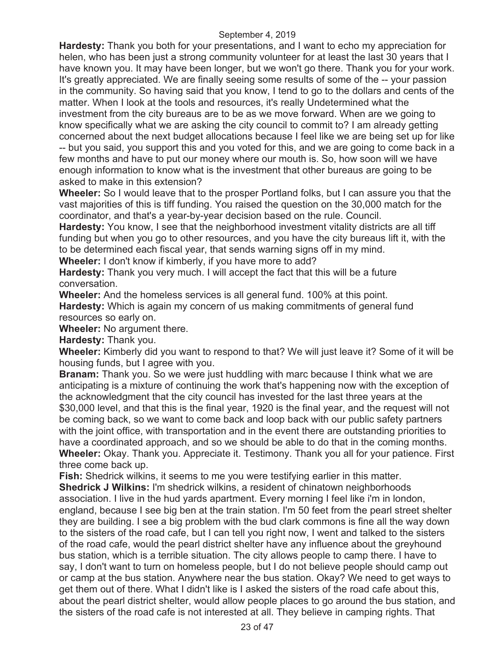**Hardesty:** Thank you both for your presentations, and I want to echo my appreciation for helen, who has been just a strong community volunteer for at least the last 30 years that I have known you. It may have been longer, but we won't go there. Thank you for your work. It's greatly appreciated. We are finally seeing some results of some of the -- your passion in the community. So having said that you know, I tend to go to the dollars and cents of the matter. When I look at the tools and resources, it's really Undetermined what the investment from the city bureaus are to be as we move forward. When are we going to know specifically what we are asking the city council to commit to? I am already getting concerned about the next budget allocations because I feel like we are being set up for like

-- but you said, you support this and you voted for this, and we are going to come back in a few months and have to put our money where our mouth is. So, how soon will we have enough information to know what is the investment that other bureaus are going to be asked to make in this extension?

**Wheeler:** So I would leave that to the prosper Portland folks, but I can assure you that the vast majorities of this is tiff funding. You raised the question on the 30,000 match for the coordinator, and that's a year-by-year decision based on the rule. Council.

**Hardesty:** You know, I see that the neighborhood investment vitality districts are all tiff funding but when you go to other resources, and you have the city bureaus lift it, with the to be determined each fiscal year, that sends warning signs off in my mind.

**Wheeler:** I don't know if kimberly, if you have more to add?

**Hardesty:** Thank you very much. I will accept the fact that this will be a future conversation.

**Wheeler:** And the homeless services is all general fund. 100% at this point. **Hardesty:** Which is again my concern of us making commitments of general fund resources so early on.

**Wheeler:** No argument there.

**Hardesty:** Thank you.

**Wheeler:** Kimberly did you want to respond to that? We will just leave it? Some of it will be housing funds, but I agree with you.

**Branam:** Thank you. So we were just huddling with marc because I think what we are anticipating is a mixture of continuing the work that's happening now with the exception of the acknowledgment that the city council has invested for the last three years at the \$30,000 level, and that this is the final year, 1920 is the final year, and the request will not be coming back, so we want to come back and loop back with our public safety partners with the joint office, with transportation and in the event there are outstanding priorities to have a coordinated approach, and so we should be able to do that in the coming months. **Wheeler:** Okay. Thank you. Appreciate it. Testimony. Thank you all for your patience. First three come back up.

**Fish:** Shedrick wilkins, it seems to me you were testifying earlier in this matter.

**Shedrick J Wilkins:** I'm shedrick wilkins, a resident of chinatown neighborhoods association. I live in the hud yards apartment. Every morning I feel like i'm in london, england, because I see big ben at the train station. I'm 50 feet from the pearl street shelter they are building. I see a big problem with the bud clark commons is fine all the way down to the sisters of the road cafe, but I can tell you right now, I went and talked to the sisters of the road cafe, would the pearl district shelter have any influence about the greyhound bus station, which is a terrible situation. The city allows people to camp there. I have to say, I don't want to turn on homeless people, but I do not believe people should camp out or camp at the bus station. Anywhere near the bus station. Okay? We need to get ways to get them out of there. What I didn't like is I asked the sisters of the road cafe about this, about the pearl district shelter, would allow people places to go around the bus station, and the sisters of the road cafe is not interested at all. They believe in camping rights. That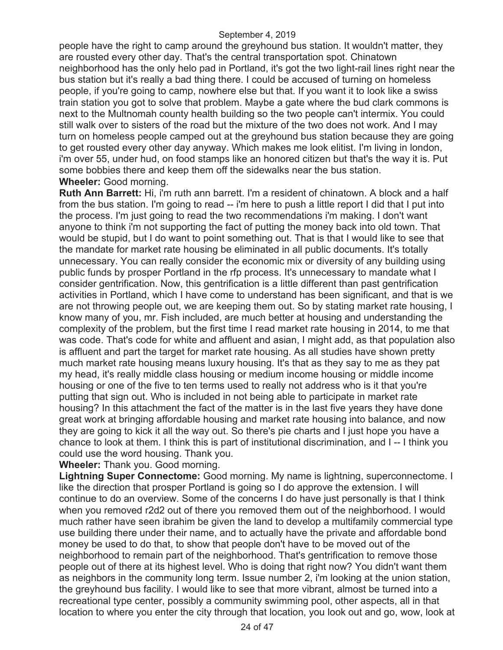people have the right to camp around the greyhound bus station. It wouldn't matter, they are rousted every other day. That's the central transportation spot. Chinatown neighborhood has the only helo pad in Portland, it's got the two light-rail lines right near the bus station but it's really a bad thing there. I could be accused of turning on homeless people, if you're going to camp, nowhere else but that. If you want it to look like a swiss train station you got to solve that problem. Maybe a gate where the bud clark commons is next to the Multnomah county health building so the two people can't intermix. You could still walk over to sisters of the road but the mixture of the two does not work. And I may turn on homeless people camped out at the greyhound bus station because they are going to get rousted every other day anyway. Which makes me look elitist. I'm living in london, i'm over 55, under hud, on food stamps like an honored citizen but that's the way it is. Put some bobbies there and keep them off the sidewalks near the bus station. **Wheeler:** Good morning.

**Ruth Ann Barrett:** Hi, i'm ruth ann barrett. I'm a resident of chinatown. A block and a half from the bus station. I'm going to read -- i'm here to push a little report I did that I put into the process. I'm just going to read the two recommendations i'm making. I don't want anyone to think i'm not supporting the fact of putting the money back into old town. That would be stupid, but I do want to point something out. That is that I would like to see that the mandate for market rate housing be eliminated in all public documents. It's totally unnecessary. You can really consider the economic mix or diversity of any building using public funds by prosper Portland in the rfp process. It's unnecessary to mandate what I consider gentrification. Now, this gentrification is a little different than past gentrification activities in Portland, which I have come to understand has been significant, and that is we are not throwing people out, we are keeping them out. So by stating market rate housing, I know many of you, mr. Fish included, are much better at housing and understanding the complexity of the problem, but the first time I read market rate housing in 2014, to me that was code. That's code for white and affluent and asian, I might add, as that population also is affluent and part the target for market rate housing. As all studies have shown pretty much market rate housing means luxury housing. It's that as they say to me as they pat my head, it's really middle class housing or medium income housing or middle income housing or one of the five to ten terms used to really not address who is it that you're putting that sign out. Who is included in not being able to participate in market rate housing? In this attachment the fact of the matter is in the last five years they have done great work at bringing affordable housing and market rate housing into balance, and now they are going to kick it all the way out. So there's pie charts and I just hope you have a chance to look at them. I think this is part of institutional discrimination, and I -- I think you could use the word housing. Thank you.

**Wheeler:** Thank you. Good morning.

**Lightning Super Connectome:** Good morning. My name is lightning, superconnectome. I like the direction that prosper Portland is going so I do approve the extension. I will continue to do an overview. Some of the concerns I do have just personally is that I think when you removed r2d2 out of there you removed them out of the neighborhood. I would much rather have seen ibrahim be given the land to develop a multifamily commercial type use building there under their name, and to actually have the private and affordable bond money be used to do that, to show that people don't have to be moved out of the neighborhood to remain part of the neighborhood. That's gentrification to remove those people out of there at its highest level. Who is doing that right now? You didn't want them as neighbors in the community long term. Issue number 2, i'm looking at the union station, the greyhound bus facility. I would like to see that more vibrant, almost be turned into a recreational type center, possibly a community swimming pool, other aspects, all in that location to where you enter the city through that location, you look out and go, wow, look at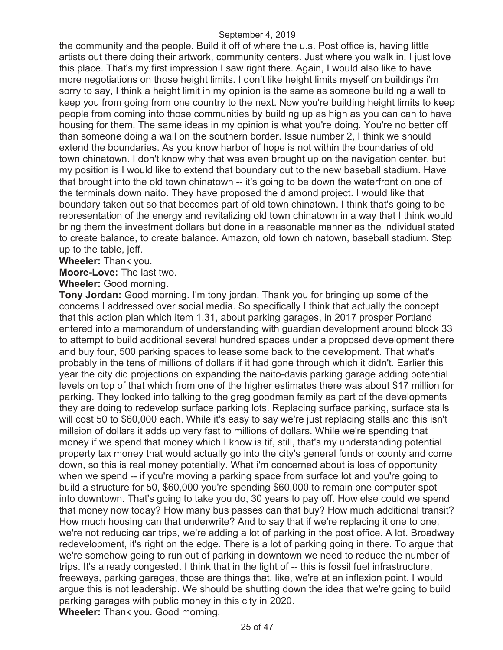the community and the people. Build it off of where the u.s. Post office is, having little artists out there doing their artwork, community centers. Just where you walk in. I just love this place. That's my first impression I saw right there. Again, I would also like to have more negotiations on those height limits. I don't like height limits myself on buildings i'm sorry to say, I think a height limit in my opinion is the same as someone building a wall to keep you from going from one country to the next. Now you're building height limits to keep people from coming into those communities by building up as high as you can can to have housing for them. The same ideas in my opinion is what you're doing. You're no better off than someone doing a wall on the southern border. Issue number 2, I think we should extend the boundaries. As you know harbor of hope is not within the boundaries of old town chinatown. I don't know why that was even brought up on the navigation center, but my position is I would like to extend that boundary out to the new baseball stadium. Have that brought into the old town chinatown -- it's going to be down the waterfront on one of the terminals down naito. They have proposed the diamond project. I would like that boundary taken out so that becomes part of old town chinatown. I think that's going to be representation of the energy and revitalizing old town chinatown in a way that I think would bring them the investment dollars but done in a reasonable manner as the individual stated to create balance, to create balance. Amazon, old town chinatown, baseball stadium. Step up to the table, jeff.

**Wheeler:** Thank you.

**Moore-Love:** The last two.

**Wheeler:** Good morning.

**Tony Jordan:** Good morning. I'm tony jordan. Thank you for bringing up some of the concerns I addressed over social media. So specifically I think that actually the concept that this action plan which item 1.31, about parking garages, in 2017 prosper Portland entered into a memorandum of understanding with guardian development around block 33 to attempt to build additional several hundred spaces under a proposed development there and buy four, 500 parking spaces to lease some back to the development. That what's probably in the tens of millions of dollars if it had gone through which it didn't. Earlier this year the city did projections on expanding the naito-davis parking garage adding potential levels on top of that which from one of the higher estimates there was about \$17 million for parking. They looked into talking to the greg goodman family as part of the developments they are doing to redevelop surface parking lots. Replacing surface parking, surface stalls will cost 50 to \$60,000 each. While it's easy to say we're just replacing stalls and this isn't millsion of dollars it adds up very fast to millions of dollars. While we're spending that money if we spend that money which I know is tif, still, that's my understanding potential property tax money that would actually go into the city's general funds or county and come down, so this is real money potentially. What i'm concerned about is loss of opportunity when we spend -- if you're moving a parking space from surface lot and you're going to build a structure for 50, \$60,000 you're spending \$60,000 to remain one computer spot into downtown. That's going to take you do, 30 years to pay off. How else could we spend that money now today? How many bus passes can that buy? How much additional transit? How much housing can that underwrite? And to say that if we're replacing it one to one, we're not reducing car trips, we're adding a lot of parking in the post office. A lot. Broadway redevelopment, it's right on the edge. There is a lot of parking going in there. To argue that we're somehow going to run out of parking in downtown we need to reduce the number of trips. It's already congested. I think that in the light of -- this is fossil fuel infrastructure, freeways, parking garages, those are things that, like, we're at an inflexion point. I would argue this is not leadership. We should be shutting down the idea that we're going to build parking garages with public money in this city in 2020. **Wheeler:** Thank you. Good morning.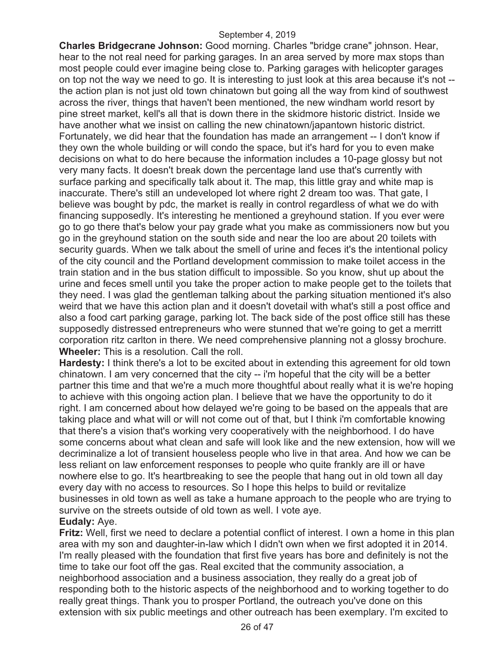**Charles Bridgecrane Johnson:** Good morning. Charles "bridge crane" johnson. Hear, hear to the not real need for parking garages. In an area served by more max stops than most people could ever imagine being close to. Parking garages with helicopter garages on top not the way we need to go. It is interesting to just look at this area because it's not - the action plan is not just old town chinatown but going all the way from kind of southwest across the river, things that haven't been mentioned, the new windham world resort by pine street market, kell's all that is down there in the skidmore historic district. Inside we have another what we insist on calling the new chinatown/japantown historic district. Fortunately, we did hear that the foundation has made an arrangement -- I don't know if they own the whole building or will condo the space, but it's hard for you to even make decisions on what to do here because the information includes a 10-page glossy but not very many facts. It doesn't break down the percentage land use that's currently with surface parking and specifically talk about it. The map, this little gray and white map is inaccurate. There's still an undeveloped lot where right 2 dream too was. That gate, I believe was bought by pdc, the market is really in control regardless of what we do with financing supposedly. It's interesting he mentioned a greyhound station. If you ever were go to go there that's below your pay grade what you make as commissioners now but you go in the greyhound station on the south side and near the loo are about 20 toilets with security guards. When we talk about the smell of urine and feces it's the intentional policy of the city council and the Portland development commission to make toilet access in the train station and in the bus station difficult to impossible. So you know, shut up about the urine and feces smell until you take the proper action to make people get to the toilets that they need. I was glad the gentleman talking about the parking situation mentioned it's also weird that we have this action plan and it doesn't dovetail with what's still a post office and also a food cart parking garage, parking lot. The back side of the post office still has these supposedly distressed entrepreneurs who were stunned that we're going to get a merritt corporation ritz carlton in there. We need comprehensive planning not a glossy brochure. **Wheeler:** This is a resolution. Call the roll.

**Hardesty:** I think there's a lot to be excited about in extending this agreement for old town chinatown. I am very concerned that the city -- i'm hopeful that the city will be a better partner this time and that we're a much more thoughtful about really what it is we're hoping to achieve with this ongoing action plan. I believe that we have the opportunity to do it right. I am concerned about how delayed we're going to be based on the appeals that are taking place and what will or will not come out of that, but I think i'm comfortable knowing that there's a vision that's working very cooperatively with the neighborhood. I do have some concerns about what clean and safe will look like and the new extension, how will we decriminalize a lot of transient houseless people who live in that area. And how we can be less reliant on law enforcement responses to people who quite frankly are ill or have nowhere else to go. It's heartbreaking to see the people that hang out in old town all day every day with no access to resources. So I hope this helps to build or revitalize businesses in old town as well as take a humane approach to the people who are trying to survive on the streets outside of old town as well. I vote aye. **Eudaly:** Aye.

**Fritz:** Well, first we need to declare a potential conflict of interest. I own a home in this plan area with my son and daughter-in-law which I didn't own when we first adopted it in 2014. I'm really pleased with the foundation that first five years has bore and definitely is not the time to take our foot off the gas. Real excited that the community association, a neighborhood association and a business association, they really do a great job of responding both to the historic aspects of the neighborhood and to working together to do really great things. Thank you to prosper Portland, the outreach you've done on this extension with six public meetings and other outreach has been exemplary. I'm excited to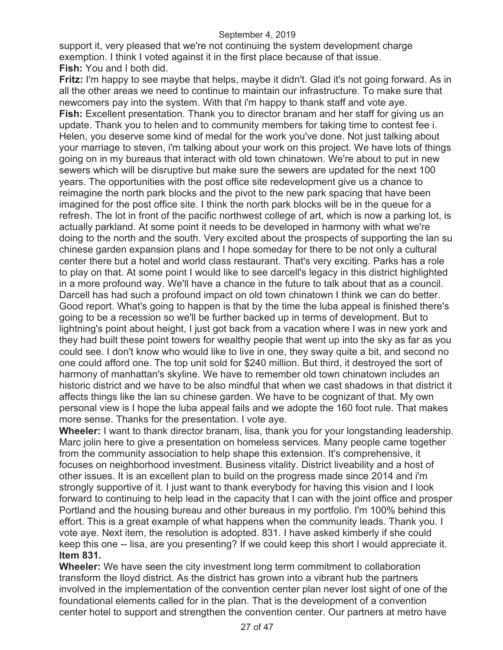support it, very pleased that we're not continuing the system development charge exemption. I think I voted against it in the first place because of that issue. **Fish:** You and I both did.

**Fritz:** I'm happy to see maybe that helps, maybe it didn't. Glad it's not going forward. As in all the other areas we need to continue to maintain our infrastructure. To make sure that newcomers pay into the system. With that i'm happy to thank staff and vote aye. **Fish:** Excellent presentation. Thank you to director branam and her staff for giving us an update. Thank you to helen and to community members for taking time to contest fee i. Helen, you deserve some kind of medal for the work you've done. Not just talking about your marriage to steven, i'm talking about your work on this project. We have lots of things going on in my bureaus that interact with old town chinatown. We're about to put in new sewers which will be disruptive but make sure the sewers are updated for the next 100 years. The opportunities with the post office site redevelopment give us a chance to reimagine the north park blocks and the pivot to the new park spacing that have been imagined for the post office site. I think the north park blocks will be in the queue for a refresh. The lot in front of the pacific northwest college of art, which is now a parking lot, is actually parkland. At some point it needs to be developed in harmony with what we're doing to the north and the south. Very excited about the prospects of supporting the lan su chinese garden expansion plans and I hope someday for there to be not only a cultural center there but a hotel and world class restaurant. That's very exciting. Parks has a role to play on that. At some point I would like to see darcell's legacy in this district highlighted in a more profound way. We'll have a chance in the future to talk about that as a council. Darcell has had such a profound impact on old town chinatown I think we can do better. Good report. What's going to happen is that by the time the luba appeal is finished there's going to be a recession so we'll be further backed up in terms of development. But to lightning's point about height, I just got back from a vacation where I was in new york and they had built these point towers for wealthy people that went up into the sky as far as you could see. I don't know who would like to live in one, they sway quite a bit, and second no one could afford one. The top unit sold for \$240 million. But third, it destroyed the sort of harmony of manhattan's skyline. We have to remember old town chinatown includes an historic district and we have to be also mindful that when we cast shadows in that district it affects things like the lan su chinese garden. We have to be cognizant of that. My own personal view is I hope the luba appeal fails and we adopte the 160 foot rule. That makes more sense. Thanks for the presentation. I vote aye.

**Wheeler:** I want to thank director branam, lisa, thank you for your longstanding leadership. Marc jolin here to give a presentation on homeless services. Many people came together from the community association to help shape this extension. It's comprehensive, it focuses on neighborhood investment. Business vitality. District liveability and a host of other issues. It is an excellent plan to build on the progress made since 2014 and i'm strongly supportive of it. I just want to thank everybody for having this vision and I look forward to continuing to help lead in the capacity that I can with the joint office and prosper Portland and the housing bureau and other bureaus in my portfolio. I'm 100% behind this effort. This is a great example of what happens when the community leads. Thank you. I vote aye. Next item, the resolution is adopted. 831. I have asked kimberly if she could keep this one -- lisa, are you presenting? If we could keep this short I would appreciate it. **Item 831.**

**Wheeler:** We have seen the city investment long term commitment to collaboration transform the lloyd district. As the district has grown into a vibrant hub the partners involved in the implementation of the convention center plan never lost sight of one of the foundational elements called for in the plan. That is the development of a convention center hotel to support and strengthen the convention center. Our partners at metro have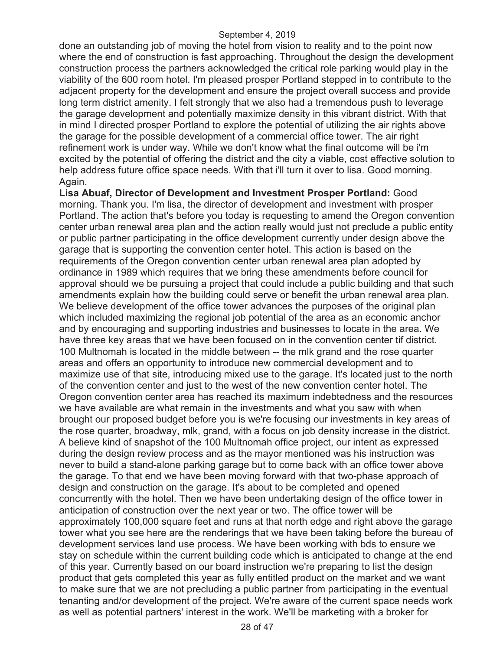done an outstanding job of moving the hotel from vision to reality and to the point now where the end of construction is fast approaching. Throughout the design the development construction process the partners acknowledged the critical role parking would play in the viability of the 600 room hotel. I'm pleased prosper Portland stepped in to contribute to the adjacent property for the development and ensure the project overall success and provide long term district amenity. I felt strongly that we also had a tremendous push to leverage the garage development and potentially maximize density in this vibrant district. With that in mind I directed prosper Portland to explore the potential of utilizing the air rights above the garage for the possible development of a commercial office tower. The air right refinement work is under way. While we don't know what the final outcome will be i'm excited by the potential of offering the district and the city a viable, cost effective solution to help address future office space needs. With that i'll turn it over to lisa. Good morning. Again.

**Lisa Abuaf, Director of Development and Investment Prosper Portland:** Good morning. Thank you. I'm lisa, the director of development and investment with prosper Portland. The action that's before you today is requesting to amend the Oregon convention center urban renewal area plan and the action really would just not preclude a public entity or public partner participating in the office development currently under design above the garage that is supporting the convention center hotel. This action is based on the requirements of the Oregon convention center urban renewal area plan adopted by ordinance in 1989 which requires that we bring these amendments before council for approval should we be pursuing a project that could include a public building and that such amendments explain how the building could serve or benefit the urban renewal area plan. We believe development of the office tower advances the purposes of the original plan which included maximizing the regional job potential of the area as an economic anchor and by encouraging and supporting industries and businesses to locate in the area. We have three key areas that we have been focused on in the convention center tif district. 100 Multnomah is located in the middle between -- the mlk grand and the rose quarter areas and offers an opportunity to introduce new commercial development and to maximize use of that site, introducing mixed use to the garage. It's located just to the north of the convention center and just to the west of the new convention center hotel. The Oregon convention center area has reached its maximum indebtedness and the resources we have available are what remain in the investments and what you saw with when brought our proposed budget before you is we're focusing our investments in key areas of the rose quarter, broadway, mlk, grand, with a focus on job density increase in the district. A believe kind of snapshot of the 100 Multnomah office project, our intent as expressed during the design review process and as the mayor mentioned was his instruction was never to build a stand-alone parking garage but to come back with an office tower above the garage. To that end we have been moving forward with that two-phase approach of design and construction on the garage. It's about to be completed and opened concurrently with the hotel. Then we have been undertaking design of the office tower in anticipation of construction over the next year or two. The office tower will be approximately 100,000 square feet and runs at that north edge and right above the garage tower what you see here are the renderings that we have been taking before the bureau of development services land use process. We have been working with bds to ensure we stay on schedule within the current building code which is anticipated to change at the end of this year. Currently based on our board instruction we're preparing to list the design product that gets completed this year as fully entitled product on the market and we want to make sure that we are not precluding a public partner from participating in the eventual tenanting and/or development of the project. We're aware of the current space needs work as well as potential partners' interest in the work. We'll be marketing with a broker for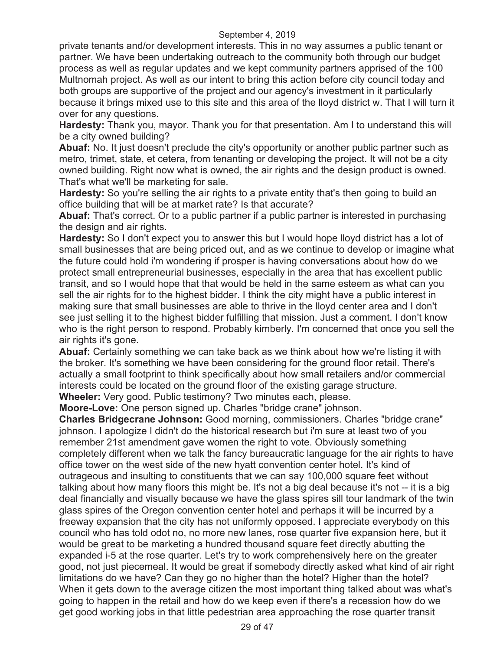private tenants and/or development interests. This in no way assumes a public tenant or partner. We have been undertaking outreach to the community both through our budget process as well as regular updates and we kept community partners apprised of the 100 Multnomah project. As well as our intent to bring this action before city council today and both groups are supportive of the project and our agency's investment in it particularly because it brings mixed use to this site and this area of the lloyd district w. That I will turn it over for any questions.

**Hardesty:** Thank you, mayor. Thank you for that presentation. Am I to understand this will be a city owned building?

**Abuaf:** No. It just doesn't preclude the city's opportunity or another public partner such as metro, trimet, state, et cetera, from tenanting or developing the project. It will not be a city owned building. Right now what is owned, the air rights and the design product is owned. That's what we'll be marketing for sale.

**Hardesty:** So you're selling the air rights to a private entity that's then going to build an office building that will be at market rate? Is that accurate?

**Abuaf:** That's correct. Or to a public partner if a public partner is interested in purchasing the design and air rights.

**Hardesty:** So I don't expect you to answer this but I would hope lloyd district has a lot of small businesses that are being priced out, and as we continue to develop or imagine what the future could hold i'm wondering if prosper is having conversations about how do we protect small entrepreneurial businesses, especially in the area that has excellent public transit, and so I would hope that that would be held in the same esteem as what can you sell the air rights for to the highest bidder. I think the city might have a public interest in making sure that small businesses are able to thrive in the lloyd center area and I don't see just selling it to the highest bidder fulfilling that mission. Just a comment. I don't know who is the right person to respond. Probably kimberly. I'm concerned that once you sell the air rights it's gone.

**Abuaf:** Certainly something we can take back as we think about how we're listing it with the broker. It's something we have been considering for the ground floor retail. There's actually a small footprint to think specifically about how small retailers and/or commercial interests could be located on the ground floor of the existing garage structure. **Wheeler:** Very good. Public testimony? Two minutes each, please.

**Moore-Love:** One person signed up. Charles "bridge crane" johnson.

**Charles Bridgecrane Johnson:** Good morning, commissioners. Charles "bridge crane" johnson. I apologize I didn't do the historical research but i'm sure at least two of you remember 21st amendment gave women the right to vote. Obviously something completely different when we talk the fancy bureaucratic language for the air rights to have office tower on the west side of the new hyatt convention center hotel. It's kind of outrageous and insulting to constituents that we can say 100,000 square feet without talking about how many floors this might be. It's not a big deal because it's not -- it is a big deal financially and visually because we have the glass spires sill tour landmark of the twin glass spires of the Oregon convention center hotel and perhaps it will be incurred by a freeway expansion that the city has not uniformly opposed. I appreciate everybody on this council who has told odot no, no more new lanes, rose quarter five expansion here, but it would be great to be marketing a hundred thousand square feet directly abutting the expanded i-5 at the rose quarter. Let's try to work comprehensively here on the greater good, not just piecemeal. It would be great if somebody directly asked what kind of air right limitations do we have? Can they go no higher than the hotel? Higher than the hotel? When it gets down to the average citizen the most important thing talked about was what's going to happen in the retail and how do we keep even if there's a recession how do we get good working jobs in that little pedestrian area approaching the rose quarter transit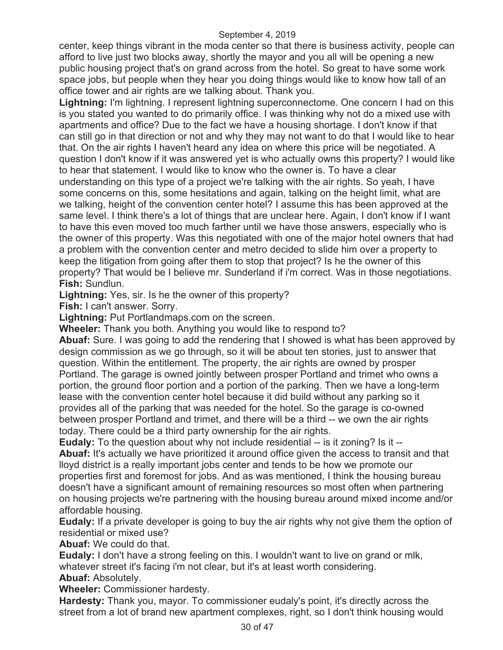center, keep things vibrant in the moda center so that there is business activity, people can afford to live just two blocks away, shortly the mayor and you all will be opening a new public housing project that's on grand across from the hotel. So great to have some work space jobs, but people when they hear you doing things would like to know how tall of an office tower and air rights are we talking about. Thank you.

**Lightning:** I'm lightning. I represent lightning superconnectome. One concern I had on this is you stated you wanted to do primarily office. I was thinking why not do a mixed use with apartments and office? Due to the fact we have a housing shortage. I don't know if that can still go in that direction or not and why they may not want to do that I would like to hear that. On the air rights I haven't heard any idea on where this price will be negotiated. A question I don't know if it was answered yet is who actually owns this property? I would like to hear that statement. I would like to know who the owner is. To have a clear understanding on this type of a project we're talking with the air rights. So yeah, I have some concerns on this, some hesitations and again, talking on the height limit, what are we talking, height of the convention center hotel? I assume this has been approved at the same level. I think there's a lot of things that are unclear here. Again, I don't know if I want to have this even moved too much farther until we have those answers, especially who is the owner of this property. Was this negotiated with one of the major hotel owners that had a problem with the convention center and metro decided to slide him over a property to keep the litigation from going after them to stop that project? Is he the owner of this property? That would be I believe mr. Sunderland if i'm correct. Was in those negotiations. **Fish:** Sundlun.

**Lightning:** Yes, sir. Is he the owner of this property?

**Fish:** I can't answer. Sorry.

**Lightning:** Put Portlandmaps.com on the screen.

**Wheeler:** Thank you both. Anything you would like to respond to?

**Abuaf:** Sure. I was going to add the rendering that I showed is what has been approved by design commission as we go through, so it will be about ten stories, just to answer that question. Within the entitlement. The property, the air rights are owned by prosper Portland. The garage is owned jointly between prosper Portland and trimet who owns a portion, the ground floor portion and a portion of the parking. Then we have a long-term lease with the convention center hotel because it did build without any parking so it provides all of the parking that was needed for the hotel. So the garage is co-owned between prosper Portland and trimet, and there will be a third -- we own the air rights today. There could be a third party ownership for the air rights.

**Eudaly:** To the question about why not include residential -- is it zoning? Is it --

**Abuaf:** It's actually we have prioritized it around office given the access to transit and that lloyd district is a really important jobs center and tends to be how we promote our properties first and foremost for jobs. And as was mentioned, I think the housing bureau doesn't have a significant amount of remaining resources so most often when partnering on housing projects we're partnering with the housing bureau around mixed income and/or affordable housing.

**Eudaly:** If a private developer is going to buy the air rights why not give them the option of residential or mixed use?

**Abuaf:** We could do that.

**Eudaly:** I don't have a strong feeling on this. I wouldn't want to live on grand or mlk, whatever street it's facing i'm not clear, but it's at least worth considering.

**Abuaf:** Absolutely.

**Wheeler:** Commissioner hardesty.

**Hardesty:** Thank you, mayor. To commissioner eudaly's point, it's directly across the street from a lot of brand new apartment complexes, right, so I don't think housing would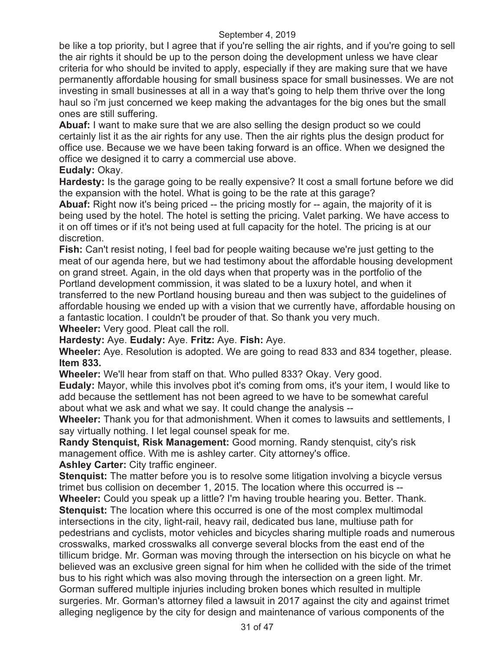be like a top priority, but I agree that if you're selling the air rights, and if you're going to sell the air rights it should be up to the person doing the development unless we have clear criteria for who should be invited to apply, especially if they are making sure that we have permanently affordable housing for small business space for small businesses. We are not investing in small businesses at all in a way that's going to help them thrive over the long haul so i'm just concerned we keep making the advantages for the big ones but the small ones are still suffering.

**Abuaf:** I want to make sure that we are also selling the design product so we could certainly list it as the air rights for any use. Then the air rights plus the design product for office use. Because we we have been taking forward is an office. When we designed the office we designed it to carry a commercial use above.

**Eudaly:** Okay.

**Hardesty:** Is the garage going to be really expensive? It cost a small fortune before we did the expansion with the hotel. What is going to be the rate at this garage?

**Abuaf:** Right now it's being priced -- the pricing mostly for -- again, the majority of it is being used by the hotel. The hotel is setting the pricing. Valet parking. We have access to it on off times or if it's not being used at full capacity for the hotel. The pricing is at our discretion.

**Fish:** Can't resist noting, I feel bad for people waiting because we're just getting to the meat of our agenda here, but we had testimony about the affordable housing development on grand street. Again, in the old days when that property was in the portfolio of the Portland development commission, it was slated to be a luxury hotel, and when it transferred to the new Portland housing bureau and then was subject to the guidelines of affordable housing we ended up with a vision that we currently have, affordable housing on a fantastic location. I couldn't be prouder of that. So thank you very much.

**Wheeler:** Very good. Pleat call the roll.

**Hardesty:** Aye. **Eudaly:** Aye. **Fritz:** Aye. **Fish:** Aye.

**Wheeler:** Aye. Resolution is adopted. We are going to read 833 and 834 together, please. **Item 833.** 

**Wheeler:** We'll hear from staff on that. Who pulled 833? Okay. Very good.

**Eudaly:** Mayor, while this involves pbot it's coming from oms, it's your item, I would like to add because the settlement has not been agreed to we have to be somewhat careful about what we ask and what we say. It could change the analysis --

**Wheeler:** Thank you for that admonishment. When it comes to lawsuits and settlements, I say virtually nothing. I let legal counsel speak for me.

**Randy Stenquist, Risk Management:** Good morning. Randy stenquist, city's risk management office. With me is ashley carter. City attorney's office.

**Ashley Carter:** City traffic engineer.

**Stenquist:** The matter before you is to resolve some litigation involving a bicycle versus trimet bus collision on december 1, 2015. The location where this occurred is --

**Wheeler:** Could you speak up a little? I'm having trouble hearing you. Better. Thank. **Stenquist:** The location where this occurred is one of the most complex multimodal intersections in the city, light-rail, heavy rail, dedicated bus lane, multiuse path for pedestrians and cyclists, motor vehicles and bicycles sharing multiple roads and numerous crosswalks, marked crosswalks all converge several blocks from the east end of the tillicum bridge. Mr. Gorman was moving through the intersection on his bicycle on what he believed was an exclusive green signal for him when he collided with the side of the trimet bus to his right which was also moving through the intersection on a green light. Mr. Gorman suffered multiple injuries including broken bones which resulted in multiple

surgeries. Mr. Gorman's attorney filed a lawsuit in 2017 against the city and against trimet alleging negligence by the city for design and maintenance of various components of the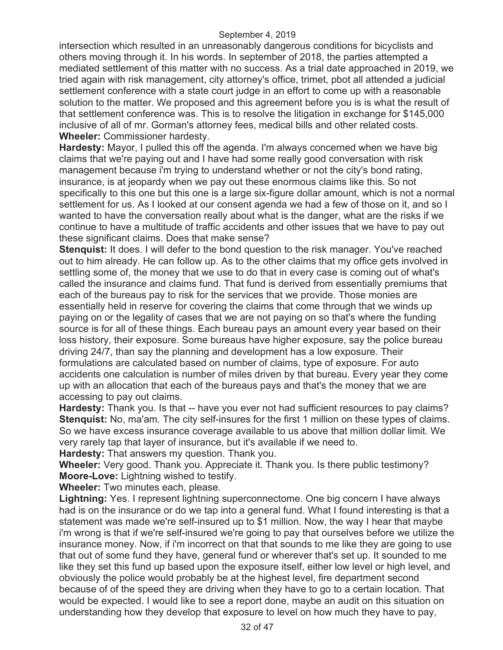intersection which resulted in an unreasonably dangerous conditions for bicyclists and others moving through it. In his words. In september of 2018, the parties attempted a mediated settlement of this matter with no success. As a trial date approached in 2019, we tried again with risk management, city attorney's office, trimet, pbot all attended a judicial settlement conference with a state court judge in an effort to come up with a reasonable solution to the matter. We proposed and this agreement before you is is what the result of that settlement conference was. This is to resolve the litigation in exchange for \$145,000 inclusive of all of mr. Gorman's attorney fees, medical bills and other related costs. **Wheeler:** Commissioner hardesty.

**Hardesty:** Mayor, I pulled this off the agenda. I'm always concerned when we have big claims that we're paying out and I have had some really good conversation with risk management because i'm trying to understand whether or not the city's bond rating, insurance, is at jeopardy when we pay out these enormous claims like this. So not specifically to this one but this one is a large six-figure dollar amount, which is not a normal settlement for us. As I looked at our consent agenda we had a few of those on it, and so I wanted to have the conversation really about what is the danger, what are the risks if we continue to have a multitude of traffic accidents and other issues that we have to pay out these significant claims. Does that make sense?

**Stenquist:** It does. I will defer to the bond question to the risk manager. You've reached out to him already. He can follow up. As to the other claims that my office gets involved in settling some of, the money that we use to do that in every case is coming out of what's called the insurance and claims fund. That fund is derived from essentially premiums that each of the bureaus pay to risk for the services that we provide. Those monies are essentially held in reserve for covering the claims that come through that we winds up paying on or the legality of cases that we are not paying on so that's where the funding source is for all of these things. Each bureau pays an amount every year based on their loss history, their exposure. Some bureaus have higher exposure, say the police bureau driving 24/7, than say the planning and development has a low exposure. Their formulations are calculated based on number of claims, type of exposure. For auto accidents one calculation is number of miles driven by that bureau. Every year they come up with an allocation that each of the bureaus pays and that's the money that we are accessing to pay out claims.

**Hardesty:** Thank you. Is that -- have you ever not had sufficient resources to pay claims? **Stenquist:** No, ma'am. The city self-insures for the first 1 million on these types of claims. So we have excess insurance coverage available to us above that million dollar limit. We very rarely tap that layer of insurance, but it's available if we need to.

**Hardesty:** That answers my question. Thank you.

**Wheeler:** Very good. Thank you. Appreciate it. Thank you. Is there public testimony? **Moore-Love:** Lightning wished to testify.

**Wheeler:** Two minutes each, please.

**Lightning:** Yes. I represent lightning superconnectome. One big concern I have always had is on the insurance or do we tap into a general fund. What I found interesting is that a statement was made we're self-insured up to \$1 million. Now, the way I hear that maybe i'm wrong is that if we're self-insured we're going to pay that ourselves before we utilize the insurance money. Now, if i'm incorrect on that that sounds to me like they are going to use that out of some fund they have, general fund or wherever that's set up. It sounded to me like they set this fund up based upon the exposure itself, either low level or high level, and obviously the police would probably be at the highest level, fire department second because of of the speed they are driving when they have to go to a certain location. That would be expected. I would like to see a report done, maybe an audit on this situation on understanding how they develop that exposure to level on how much they have to pay,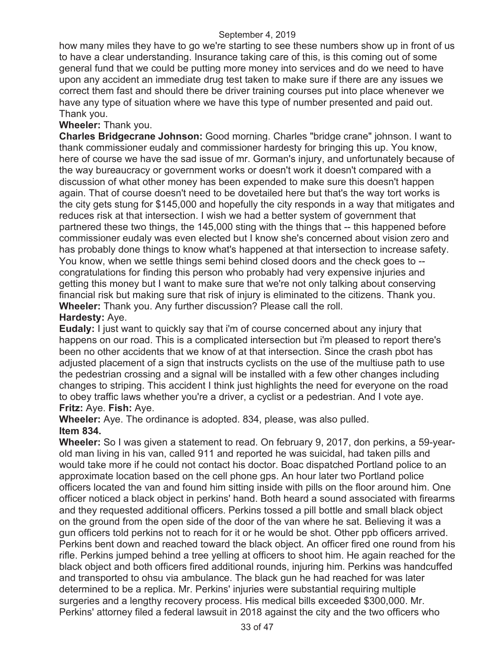how many miles they have to go we're starting to see these numbers show up in front of us to have a clear understanding. Insurance taking care of this, is this coming out of some general fund that we could be putting more money into services and do we need to have upon any accident an immediate drug test taken to make sure if there are any issues we correct them fast and should there be driver training courses put into place whenever we have any type of situation where we have this type of number presented and paid out. Thank you.

# **Wheeler:** Thank you.

**Charles Bridgecrane Johnson:** Good morning. Charles "bridge crane" johnson. I want to thank commissioner eudaly and commissioner hardesty for bringing this up. You know, here of course we have the sad issue of mr. Gorman's injury, and unfortunately because of the way bureaucracy or government works or doesn't work it doesn't compared with a discussion of what other money has been expended to make sure this doesn't happen again. That of course doesn't need to be dovetailed here but that's the way tort works is the city gets stung for \$145,000 and hopefully the city responds in a way that mitigates and reduces risk at that intersection. I wish we had a better system of government that partnered these two things, the 145,000 sting with the things that -- this happened before commissioner eudaly was even elected but I know she's concerned about vision zero and has probably done things to know what's happened at that intersection to increase safety. You know, when we settle things semi behind closed doors and the check goes to - congratulations for finding this person who probably had very expensive injuries and getting this money but I want to make sure that we're not only talking about conserving financial risk but making sure that risk of injury is eliminated to the citizens. Thank you. **Wheeler:** Thank you. Any further discussion? Please call the roll. **Hardesty:** Aye.

**Eudaly:** I just want to quickly say that i'm of course concerned about any injury that happens on our road. This is a complicated intersection but i'm pleased to report there's been no other accidents that we know of at that intersection. Since the crash pbot has adjusted placement of a sign that instructs cyclists on the use of the multiuse path to use the pedestrian crossing and a signal will be installed with a few other changes including changes to striping. This accident I think just highlights the need for everyone on the road to obey traffic laws whether you're a driver, a cyclist or a pedestrian. And I vote aye. **Fritz:** Aye. **Fish:** Aye.

# **Wheeler:** Aye. The ordinance is adopted. 834, please, was also pulled. **Item 834.**

**Wheeler:** So I was given a statement to read. On february 9, 2017, don perkins, a 59-yearold man living in his van, called 911 and reported he was suicidal, had taken pills and would take more if he could not contact his doctor. Boac dispatched Portland police to an approximate location based on the cell phone gps. An hour later two Portland police officers located the van and found him sitting inside with pills on the floor around him. One officer noticed a black object in perkins' hand. Both heard a sound associated with firearms and they requested additional officers. Perkins tossed a pill bottle and small black object on the ground from the open side of the door of the van where he sat. Believing it was a gun officers told perkins not to reach for it or he would be shot. Other ppb officers arrived. Perkins bent down and reached toward the black object. An officer fired one round from his rifle. Perkins jumped behind a tree yelling at officers to shoot him. He again reached for the black object and both officers fired additional rounds, injuring him. Perkins was handcuffed and transported to ohsu via ambulance. The black gun he had reached for was later determined to be a replica. Mr. Perkins' injuries were substantial requiring multiple surgeries and a lengthy recovery process. His medical bills exceeded \$300,000. Mr. Perkins' attorney filed a federal lawsuit in 2018 against the city and the two officers who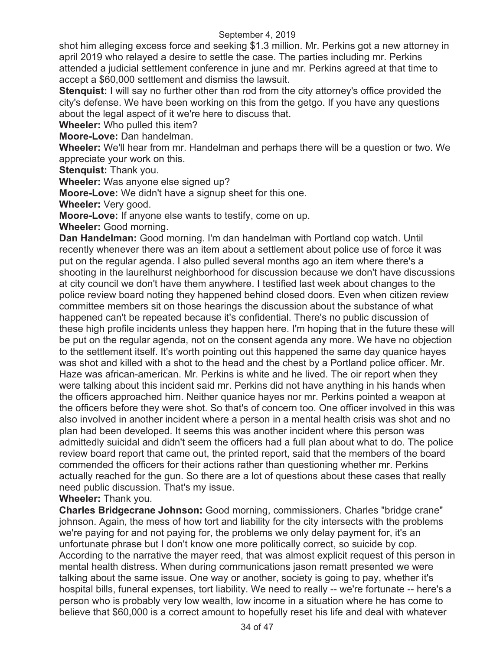shot him alleging excess force and seeking \$1.3 million. Mr. Perkins got a new attorney in april 2019 who relayed a desire to settle the case. The parties including mr. Perkins attended a judicial settlement conference in june and mr. Perkins agreed at that time to accept a \$60,000 settlement and dismiss the lawsuit.

**Stenquist:** I will say no further other than rod from the city attorney's office provided the city's defense. We have been working on this from the getgo. If you have any questions about the legal aspect of it we're here to discuss that.

**Wheeler:** Who pulled this item?

**Moore-Love:** Dan handelman.

**Wheeler:** We'll hear from mr. Handelman and perhaps there will be a question or two. We appreciate your work on this.

**Stenquist:** Thank you.

**Wheeler:** Was anyone else signed up?

**Moore-Love:** We didn't have a signup sheet for this one.

**Wheeler:** Very good.

**Moore-Love:** If anyone else wants to testify, come on up.

**Wheeler:** Good morning.

**Dan Handelman:** Good morning. I'm dan handelman with Portland cop watch. Until recently whenever there was an item about a settlement about police use of force it was put on the regular agenda. I also pulled several months ago an item where there's a shooting in the laurelhurst neighborhood for discussion because we don't have discussions at city council we don't have them anywhere. I testified last week about changes to the police review board noting they happened behind closed doors. Even when citizen review committee members sit on those hearings the discussion about the substance of what happened can't be repeated because it's confidential. There's no public discussion of these high profile incidents unless they happen here. I'm hoping that in the future these will be put on the regular agenda, not on the consent agenda any more. We have no objection to the settlement itself. It's worth pointing out this happened the same day quanice hayes was shot and killed with a shot to the head and the chest by a Portland police officer. Mr. Haze was african-american. Mr. Perkins is white and he lived. The oir report when they were talking about this incident said mr. Perkins did not have anything in his hands when the officers approached him. Neither quanice hayes nor mr. Perkins pointed a weapon at the officers before they were shot. So that's of concern too. One officer involved in this was also involved in another incident where a person in a mental health crisis was shot and no plan had been developed. It seems this was another incident where this person was admittedly suicidal and didn't seem the officers had a full plan about what to do. The police review board report that came out, the printed report, said that the members of the board commended the officers for their actions rather than questioning whether mr. Perkins actually reached for the gun. So there are a lot of questions about these cases that really need public discussion. That's my issue.

# **Wheeler:** Thank you.

**Charles Bridgecrane Johnson:** Good morning, commissioners. Charles "bridge crane" johnson. Again, the mess of how tort and liability for the city intersects with the problems we're paying for and not paying for, the problems we only delay payment for, it's an unfortunate phrase but I don't know one more politically correct, so suicide by cop. According to the narrative the mayer reed, that was almost explicit request of this person in mental health distress. When during communications jason rematt presented we were talking about the same issue. One way or another, society is going to pay, whether it's hospital bills, funeral expenses, tort liability. We need to really -- we're fortunate -- here's a person who is probably very low wealth, low income in a situation where he has come to believe that \$60,000 is a correct amount to hopefully reset his life and deal with whatever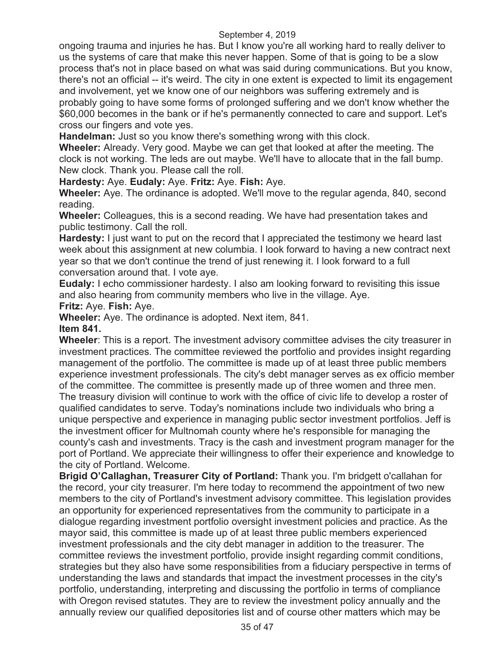ongoing trauma and injuries he has. But I know you're all working hard to really deliver to us the systems of care that make this never happen. Some of that is going to be a slow process that's not in place based on what was said during communications. But you know, there's not an official -- it's weird. The city in one extent is expected to limit its engagement and involvement, yet we know one of our neighbors was suffering extremely and is probably going to have some forms of prolonged suffering and we don't know whether the \$60,000 becomes in the bank or if he's permanently connected to care and support. Let's cross our fingers and vote yes.

**Handelman:** Just so you know there's something wrong with this clock.

**Wheeler:** Already. Very good. Maybe we can get that looked at after the meeting. The clock is not working. The leds are out maybe. We'll have to allocate that in the fall bump. New clock. Thank you. Please call the roll.

**Hardesty:** Aye. **Eudaly:** Aye. **Fritz:** Aye. **Fish:** Aye.

**Wheeler:** Aye. The ordinance is adopted. We'll move to the regular agenda, 840, second reading.

**Wheeler:** Colleagues, this is a second reading. We have had presentation takes and public testimony. Call the roll.

**Hardesty:** I just want to put on the record that I appreciated the testimony we heard last week about this assignment at new columbia. I look forward to having a new contract next year so that we don't continue the trend of just renewing it. I look forward to a full conversation around that. I vote aye.

**Eudaly:** I echo commissioner hardesty. I also am looking forward to revisiting this issue and also hearing from community members who live in the village. Aye. **Fritz:** Aye. **Fish:** Aye.

**Wheeler:** Aye. The ordinance is adopted. Next item, 841.

**Item 841.** 

**Wheeler**: This is a report. The investment advisory committee advises the city treasurer in investment practices. The committee reviewed the portfolio and provides insight regarding management of the portfolio. The committee is made up of at least three public members experience investment professionals. The city's debt manager serves as ex officio member of the committee. The committee is presently made up of three women and three men. The treasury division will continue to work with the office of civic life to develop a roster of qualified candidates to serve. Today's nominations include two individuals who bring a unique perspective and experience in managing public sector investment portfolios. Jeff is the investment officer for Multnomah county where he's responsible for managing the county's cash and investments. Tracy is the cash and investment program manager for the port of Portland. We appreciate their willingness to offer their experience and knowledge to the city of Portland. Welcome.

**Brigid O'Callaghan, Treasurer City of Portland:** Thank you. I'm bridgett o'callahan for the record, your city treasurer. I'm here today to recommend the appointment of two new members to the city of Portland's investment advisory committee. This legislation provides an opportunity for experienced representatives from the community to participate in a dialogue regarding investment portfolio oversight investment policies and practice. As the mayor said, this committee is made up of at least three public members experienced investment professionals and the city debt manager in addition to the treasurer. The committee reviews the investment portfolio, provide insight regarding commit conditions, strategies but they also have some responsibilities from a fiduciary perspective in terms of understanding the laws and standards that impact the investment processes in the city's portfolio, understanding, interpreting and discussing the portfolio in terms of compliance with Oregon revised statutes. They are to review the investment policy annually and the annually review our qualified depositories list and of course other matters which may be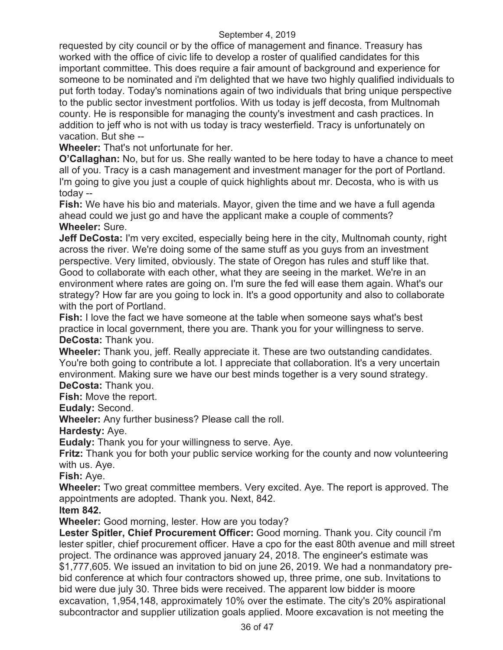requested by city council or by the office of management and finance. Treasury has worked with the office of civic life to develop a roster of qualified candidates for this important committee. This does require a fair amount of background and experience for someone to be nominated and i'm delighted that we have two highly qualified individuals to put forth today. Today's nominations again of two individuals that bring unique perspective to the public sector investment portfolios. With us today is jeff decosta, from Multnomah county. He is responsible for managing the county's investment and cash practices. In addition to jeff who is not with us today is tracy westerfield. Tracy is unfortunately on vacation. But she --

**Wheeler:** That's not unfortunate for her.

**O'Callaghan:** No, but for us. She really wanted to be here today to have a chance to meet all of you. Tracy is a cash management and investment manager for the port of Portland. I'm going to give you just a couple of quick highlights about mr. Decosta, who is with us today --

**Fish:** We have his bio and materials. Mayor, given the time and we have a full agenda ahead could we just go and have the applicant make a couple of comments? **Wheeler:** Sure.

**Jeff DeCosta:** I'm very excited, especially being here in the city, Multnomah county, right across the river. We're doing some of the same stuff as you guys from an investment perspective. Very limited, obviously. The state of Oregon has rules and stuff like that. Good to collaborate with each other, what they are seeing in the market. We're in an environment where rates are going on. I'm sure the fed will ease them again. What's our strategy? How far are you going to lock in. It's a good opportunity and also to collaborate with the port of Portland.

**Fish:** I love the fact we have someone at the table when someone says what's best practice in local government, there you are. Thank you for your willingness to serve. **DeCosta:** Thank you.

**Wheeler:** Thank you, jeff. Really appreciate it. These are two outstanding candidates. You're both going to contribute a lot. I appreciate that collaboration. It's a very uncertain environment. Making sure we have our best minds together is a very sound strategy.

**DeCosta:** Thank you.

**Fish:** Move the report.

**Eudaly:** Second.

**Wheeler:** Any further business? Please call the roll.

**Hardesty:** Aye.

**Eudaly:** Thank you for your willingness to serve. Aye.

**Fritz:** Thank you for both your public service working for the county and now volunteering with us. Aye.

**Fish:** Aye.

**Wheeler:** Two great committee members. Very excited. Aye. The report is approved. The appointments are adopted. Thank you. Next, 842.

**Item 842.** 

**Wheeler:** Good morning, lester. How are you today?

**Lester Spitler, Chief Procurement Officer:** Good morning. Thank you. City council i'm lester spitler, chief procurement officer. Have a cpo for the east 80th avenue and mill street project. The ordinance was approved january 24, 2018. The engineer's estimate was \$1,777,605. We issued an invitation to bid on june 26, 2019. We had a nonmandatory prebid conference at which four contractors showed up, three prime, one sub. Invitations to bid were due july 30. Three bids were received. The apparent low bidder is moore excavation, 1,954,148, approximately 10% over the estimate. The city's 20% aspirational subcontractor and supplier utilization goals applied. Moore excavation is not meeting the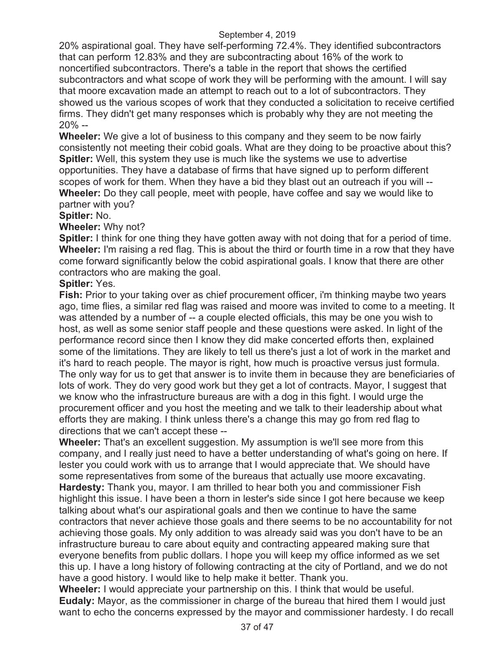20% aspirational goal. They have self-performing 72.4%. They identified subcontractors that can perform 12.83% and they are subcontracting about 16% of the work to noncertified subcontractors. There's a table in the report that shows the certified subcontractors and what scope of work they will be performing with the amount. I will say that moore excavation made an attempt to reach out to a lot of subcontractors. They showed us the various scopes of work that they conducted a solicitation to receive certified firms. They didn't get many responses which is probably why they are not meeting the 20% --

**Wheeler:** We give a lot of business to this company and they seem to be now fairly consistently not meeting their cobid goals. What are they doing to be proactive about this? **Spitler:** Well, this system they use is much like the systems we use to advertise opportunities. They have a database of firms that have signed up to perform different scopes of work for them. When they have a bid they blast out an outreach if you will -- **Wheeler:** Do they call people, meet with people, have coffee and say we would like to partner with you?

# **Spitler:** No.

# **Wheeler:** Why not?

**Spitler:** I think for one thing they have gotten away with not doing that for a period of time. **Wheeler:** I'm raising a red flag. This is about the third or fourth time in a row that they have come forward significantly below the cobid aspirational goals. I know that there are other contractors who are making the goal.

# **Spitler:** Yes.

**Fish:** Prior to your taking over as chief procurement officer, i'm thinking maybe two years ago, time flies, a similar red flag was raised and moore was invited to come to a meeting. It was attended by a number of -- a couple elected officials, this may be one you wish to host, as well as some senior staff people and these questions were asked. In light of the performance record since then I know they did make concerted efforts then, explained some of the limitations. They are likely to tell us there's just a lot of work in the market and it's hard to reach people. The mayor is right, how much is proactive versus just formula. The only way for us to get that answer is to invite them in because they are beneficiaries of lots of work. They do very good work but they get a lot of contracts. Mayor, I suggest that we know who the infrastructure bureaus are with a dog in this fight. I would urge the procurement officer and you host the meeting and we talk to their leadership about what efforts they are making. I think unless there's a change this may go from red flag to directions that we can't accept these --

**Wheeler:** That's an excellent suggestion. My assumption is we'll see more from this company, and I really just need to have a better understanding of what's going on here. If lester you could work with us to arrange that I would appreciate that. We should have some representatives from some of the bureaus that actually use moore excavating. **Hardesty:** Thank you, mayor. I am thrilled to hear both you and commissioner Fish highlight this issue. I have been a thorn in lester's side since I got here because we keep talking about what's our aspirational goals and then we continue to have the same contractors that never achieve those goals and there seems to be no accountability for not achieving those goals. My only addition to was already said was you don't have to be an infrastructure bureau to care about equity and contracting appeared making sure that everyone benefits from public dollars. I hope you will keep my office informed as we set this up. I have a long history of following contracting at the city of Portland, and we do not have a good history. I would like to help make it better. Thank you.

**Wheeler:** I would appreciate your partnership on this. I think that would be useful. **Eudaly:** Mayor, as the commissioner in charge of the bureau that hired them I would just want to echo the concerns expressed by the mayor and commissioner hardesty. I do recall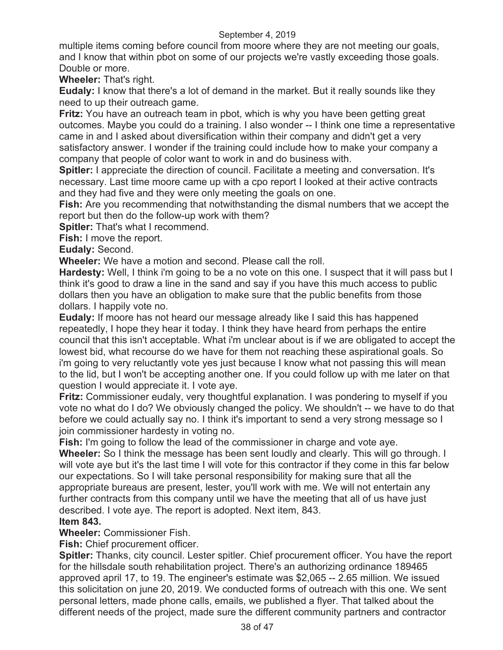multiple items coming before council from moore where they are not meeting our goals, and I know that within pbot on some of our projects we're vastly exceeding those goals. Double or more.

**Wheeler:** That's right.

**Eudaly:** I know that there's a lot of demand in the market. But it really sounds like they need to up their outreach game.

**Fritz:** You have an outreach team in pbot, which is why you have been getting great outcomes. Maybe you could do a training. I also wonder -- I think one time a representative came in and I asked about diversification within their company and didn't get a very satisfactory answer. I wonder if the training could include how to make your company a company that people of color want to work in and do business with.

**Spitler:** I appreciate the direction of council. Facilitate a meeting and conversation. It's necessary. Last time moore came up with a cpo report I looked at their active contracts and they had five and they were only meeting the goals on one.

**Fish:** Are you recommending that notwithstanding the dismal numbers that we accept the report but then do the follow-up work with them?

**Spitler:** That's what I recommend.

**Fish:** I move the report.

**Eudaly:** Second.

**Wheeler:** We have a motion and second. Please call the roll.

**Hardesty:** Well, I think i'm going to be a no vote on this one. I suspect that it will pass but I think it's good to draw a line in the sand and say if you have this much access to public dollars then you have an obligation to make sure that the public benefits from those dollars. I happily vote no.

**Eudaly:** If moore has not heard our message already like I said this has happened repeatedly, I hope they hear it today. I think they have heard from perhaps the entire council that this isn't acceptable. What i'm unclear about is if we are obligated to accept the lowest bid, what recourse do we have for them not reaching these aspirational goals. So i'm going to very reluctantly vote yes just because I know what not passing this will mean to the lid, but I won't be accepting another one. If you could follow up with me later on that question I would appreciate it. I vote aye.

**Fritz:** Commissioner eudaly, very thoughtful explanation. I was pondering to myself if you vote no what do I do? We obviously changed the policy. We shouldn't -- we have to do that before we could actually say no. I think it's important to send a very strong message so I join commissioner hardesty in voting no.

**Fish:** I'm going to follow the lead of the commissioner in charge and vote aye.

**Wheeler:** So I think the message has been sent loudly and clearly. This will go through. I will vote aye but it's the last time I will vote for this contractor if they come in this far below our expectations. So I will take personal responsibility for making sure that all the appropriate bureaus are present, lester, you'll work with me. We will not entertain any further contracts from this company until we have the meeting that all of us have just described. I vote aye. The report is adopted. Next item, 843.

# **Item 843.**

**Wheeler:** Commissioner Fish.

**Fish:** Chief procurement officer.

**Spitler:** Thanks, city council. Lester spitler. Chief procurement officer. You have the report for the hillsdale south rehabilitation project. There's an authorizing ordinance 189465 approved april 17, to 19. The engineer's estimate was \$2,065 -- 2.65 million. We issued this solicitation on june 20, 2019. We conducted forms of outreach with this one. We sent personal letters, made phone calls, emails, we published a flyer. That talked about the different needs of the project, made sure the different community partners and contractor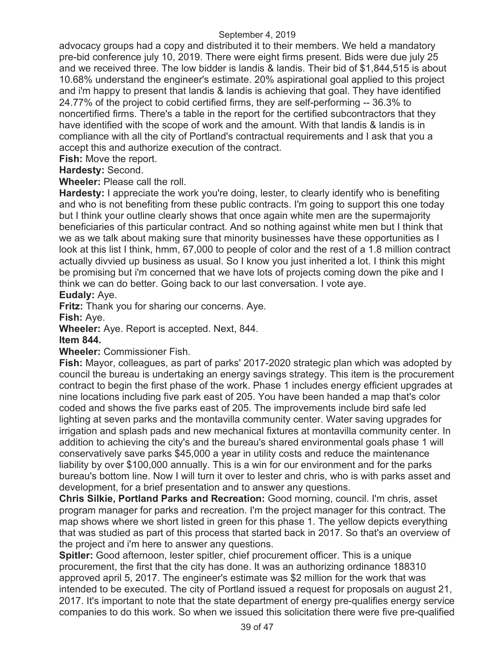advocacy groups had a copy and distributed it to their members. We held a mandatory pre-bid conference july 10, 2019. There were eight firms present. Bids were due july 25 and we received three. The low bidder is landis & landis. Their bid of \$1,844,515 is about 10.68% understand the engineer's estimate. 20% aspirational goal applied to this project and i'm happy to present that landis & landis is achieving that goal. They have identified 24.77% of the project to cobid certified firms, they are self-performing -- 36.3% to noncertified firms. There's a table in the report for the certified subcontractors that they have identified with the scope of work and the amount. With that landis & landis is in compliance with all the city of Portland's contractual requirements and I ask that you a accept this and authorize execution of the contract.

**Fish:** Move the report.

# **Hardesty:** Second.

**Wheeler:** Please call the roll.

**Hardesty:** I appreciate the work you're doing, lester, to clearly identify who is benefiting and who is not benefiting from these public contracts. I'm going to support this one today but I think your outline clearly shows that once again white men are the supermajority beneficiaries of this particular contract. And so nothing against white men but I think that we as we talk about making sure that minority businesses have these opportunities as I look at this list I think, hmm, 67,000 to people of color and the rest of a 1.8 million contract actually divvied up business as usual. So I know you just inherited a lot. I think this might be promising but i'm concerned that we have lots of projects coming down the pike and I think we can do better. Going back to our last conversation. I vote aye.

#### **Eudaly:** Aye.

**Fritz:** Thank you for sharing our concerns. Aye.

**Fish:** Aye.

**Wheeler:** Aye. Report is accepted. Next, 844.

#### **Item 844.**

**Wheeler:** Commissioner Fish.

**Fish:** Mayor, colleagues, as part of parks' 2017-2020 strategic plan which was adopted by council the bureau is undertaking an energy savings strategy. This item is the procurement contract to begin the first phase of the work. Phase 1 includes energy efficient upgrades at nine locations including five park east of 205. You have been handed a map that's color coded and shows the five parks east of 205. The improvements include bird safe led lighting at seven parks and the montavilla community center. Water saving upgrades for irrigation and splash pads and new mechanical fixtures at montavilla community center. In addition to achieving the city's and the bureau's shared environmental goals phase 1 will conservatively save parks \$45,000 a year in utility costs and reduce the maintenance liability by over \$100,000 annually. This is a win for our environment and for the parks bureau's bottom line. Now I will turn it over to lester and chris, who is with parks asset and development, for a brief presentation and to answer any questions.

**Chris Silkie, Portland Parks and Recreation:** Good morning, council. I'm chris, asset program manager for parks and recreation. I'm the project manager for this contract. The map shows where we short listed in green for this phase 1. The yellow depicts everything that was studied as part of this process that started back in 2017. So that's an overview of the project and i'm here to answer any questions.

**Spitler:** Good afternoon, lester spitler, chief procurement officer. This is a unique procurement, the first that the city has done. It was an authorizing ordinance 188310 approved april 5, 2017. The engineer's estimate was \$2 million for the work that was intended to be executed. The city of Portland issued a request for proposals on august 21, 2017. It's important to note that the state department of energy pre-qualifies energy service companies to do this work. So when we issued this solicitation there were five pre-qualified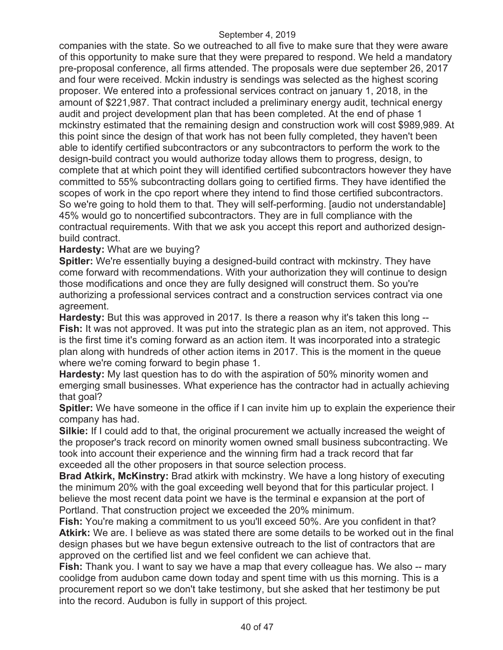companies with the state. So we outreached to all five to make sure that they were aware of this opportunity to make sure that they were prepared to respond. We held a mandatory pre-proposal conference, all firms attended. The proposals were due september 26, 2017 and four were received. Mckin industry is sendings was selected as the highest scoring proposer. We entered into a professional services contract on january 1, 2018, in the amount of \$221,987. That contract included a preliminary energy audit, technical energy audit and project development plan that has been completed. At the end of phase 1 mckinstry estimated that the remaining design and construction work will cost \$989,989. At this point since the design of that work has not been fully completed, they haven't been able to identify certified subcontractors or any subcontractors to perform the work to the design-build contract you would authorize today allows them to progress, design, to complete that at which point they will identified certified subcontractors however they have committed to 55% subcontracting dollars going to certified firms. They have identified the scopes of work in the cpo report where they intend to find those certified subcontractors. So we're going to hold them to that. They will self-performing. [audio not understandable] 45% would go to noncertified subcontractors. They are in full compliance with the contractual requirements. With that we ask you accept this report and authorized designbuild contract.

# **Hardesty:** What are we buying?

**Spitler:** We're essentially buying a designed-build contract with mckinstry. They have come forward with recommendations. With your authorization they will continue to design those modifications and once they are fully designed will construct them. So you're authorizing a professional services contract and a construction services contract via one agreement.

**Hardesty:** But this was approved in 2017. Is there a reason why it's taken this long -- **Fish:** It was not approved. It was put into the strategic plan as an item, not approved. This is the first time it's coming forward as an action item. It was incorporated into a strategic plan along with hundreds of other action items in 2017. This is the moment in the queue where we're coming forward to begin phase 1.

**Hardesty:** My last question has to do with the aspiration of 50% minority women and emerging small businesses. What experience has the contractor had in actually achieving that goal?

**Spitler:** We have someone in the office if I can invite him up to explain the experience their company has had.

**Silkie:** If I could add to that, the original procurement we actually increased the weight of the proposer's track record on minority women owned small business subcontracting. We took into account their experience and the winning firm had a track record that far exceeded all the other proposers in that source selection process.

**Brad Atkirk, McKinstry:** Brad atkirk with mckinstry. We have a long history of executing the minimum 20% with the goal exceeding well beyond that for this particular project. I believe the most recent data point we have is the terminal e expansion at the port of Portland. That construction project we exceeded the 20% minimum.

**Fish:** You're making a commitment to us you'll exceed 50%. Are you confident in that? **Atkirk:** We are. I believe as was stated there are some details to be worked out in the final design phases but we have begun extensive outreach to the list of contractors that are approved on the certified list and we feel confident we can achieve that.

**Fish:** Thank you. I want to say we have a map that every colleague has. We also -- mary coolidge from audubon came down today and spent time with us this morning. This is a procurement report so we don't take testimony, but she asked that her testimony be put into the record. Audubon is fully in support of this project.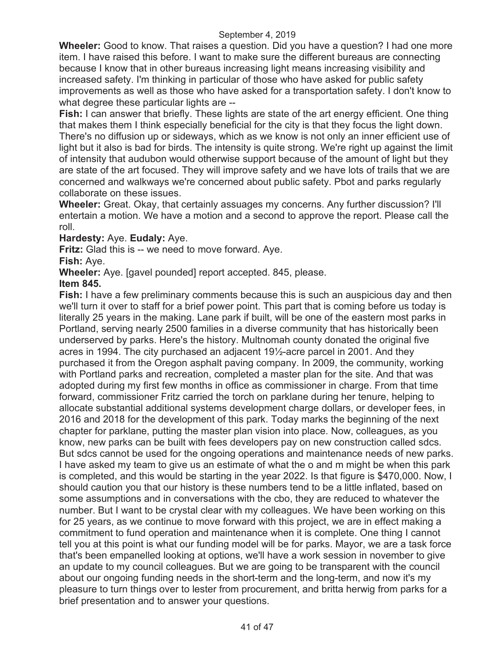**Wheeler:** Good to know. That raises a question. Did you have a question? I had one more item. I have raised this before. I want to make sure the different bureaus are connecting because I know that in other bureaus increasing light means increasing visibility and increased safety. I'm thinking in particular of those who have asked for public safety improvements as well as those who have asked for a transportation safety. I don't know to what degree these particular lights are --

**Fish:** I can answer that briefly. These lights are state of the art energy efficient. One thing that makes them I think especially beneficial for the city is that they focus the light down. There's no diffusion up or sideways, which as we know is not only an inner efficient use of light but it also is bad for birds. The intensity is quite strong. We're right up against the limit of intensity that audubon would otherwise support because of the amount of light but they are state of the art focused. They will improve safety and we have lots of trails that we are concerned and walkways we're concerned about public safety. Pbot and parks regularly collaborate on these issues.

**Wheeler:** Great. Okay, that certainly assuages my concerns. Any further discussion? I'll entertain a motion. We have a motion and a second to approve the report. Please call the roll.

# **Hardesty:** Aye. **Eudaly:** Aye.

**Fritz:** Glad this is -- we need to move forward. Aye.

**Fish:** Aye.

**Wheeler:** Aye. [gavel pounded] report accepted. 845, please.

# **Item 845.**

**Fish:** I have a few preliminary comments because this is such an auspicious day and then we'll turn it over to staff for a brief power point. This part that is coming before us today is literally 25 years in the making. Lane park if built, will be one of the eastern most parks in Portland, serving nearly 2500 families in a diverse community that has historically been underserved by parks. Here's the history. Multnomah county donated the original five acres in 1994. The city purchased an adjacent 19½-acre parcel in 2001. And they purchased it from the Oregon asphalt paving company. In 2009, the community, working with Portland parks and recreation, completed a master plan for the site. And that was adopted during my first few months in office as commissioner in charge. From that time forward, commissioner Fritz carried the torch on parklane during her tenure, helping to allocate substantial additional systems development charge dollars, or developer fees, in 2016 and 2018 for the development of this park. Today marks the beginning of the next chapter for parklane, putting the master plan vision into place. Now, colleagues, as you know, new parks can be built with fees developers pay on new construction called sdcs. But sdcs cannot be used for the ongoing operations and maintenance needs of new parks. I have asked my team to give us an estimate of what the o and m might be when this park is completed, and this would be starting in the year 2022. Is that figure is \$470,000. Now, I should caution you that our history is these numbers tend to be a little inflated, based on some assumptions and in conversations with the cbo, they are reduced to whatever the number. But I want to be crystal clear with my colleagues. We have been working on this for 25 years, as we continue to move forward with this project, we are in effect making a commitment to fund operation and maintenance when it is complete. One thing I cannot tell you at this point is what our funding model will be for parks. Mayor, we are a task force that's been empanelled looking at options, we'll have a work session in november to give an update to my council colleagues. But we are going to be transparent with the council about our ongoing funding needs in the short-term and the long-term, and now it's my pleasure to turn things over to lester from procurement, and britta herwig from parks for a brief presentation and to answer your questions.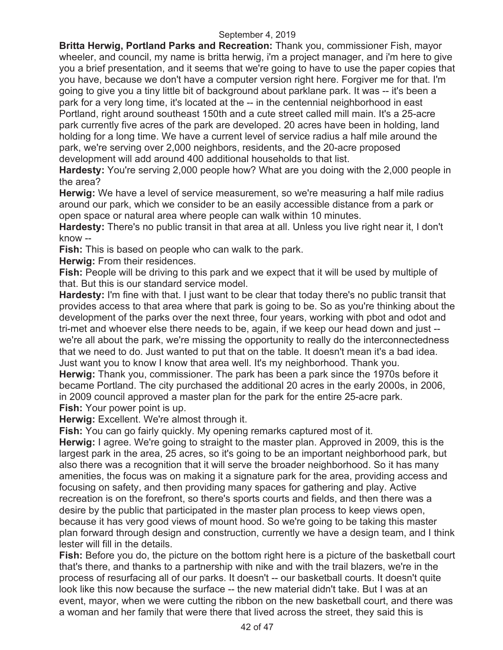**Britta Herwig, Portland Parks and Recreation:** Thank you, commissioner Fish, mayor wheeler, and council, my name is britta herwig, i'm a project manager, and i'm here to give you a brief presentation, and it seems that we're going to have to use the paper copies that you have, because we don't have a computer version right here. Forgiver me for that. I'm going to give you a tiny little bit of background about parklane park. It was -- it's been a park for a very long time, it's located at the -- in the centennial neighborhood in east Portland, right around southeast 150th and a cute street called mill main. It's a 25-acre park currently five acres of the park are developed. 20 acres have been in holding, land holding for a long time. We have a current level of service radius a half mile around the park, we're serving over 2,000 neighbors, residents, and the 20-acre proposed development will add around 400 additional households to that list.

**Hardesty:** You're serving 2,000 people how? What are you doing with the 2,000 people in the area?

**Herwig:** We have a level of service measurement, so we're measuring a half mile radius around our park, which we consider to be an easily accessible distance from a park or open space or natural area where people can walk within 10 minutes.

**Hardesty:** There's no public transit in that area at all. Unless you live right near it, I don't know --

**Fish:** This is based on people who can walk to the park.

**Herwig: From their residences.** 

**Fish:** People will be driving to this park and we expect that it will be used by multiple of that. But this is our standard service model.

**Hardesty:** I'm fine with that. I just want to be clear that today there's no public transit that provides access to that area where that park is going to be. So as you're thinking about the development of the parks over the next three, four years, working with pbot and odot and tri-met and whoever else there needs to be, again, if we keep our head down and just - we're all about the park, we're missing the opportunity to really do the interconnectedness that we need to do. Just wanted to put that on the table. It doesn't mean it's a bad idea. Just want you to know I know that area well. It's my neighborhood. Thank you. **Herwig:** Thank you, commissioner. The park has been a park since the 1970s before it became Portland. The city purchased the additional 20 acres in the early 2000s, in 2006, in 2009 council approved a master plan for the park for the entire 25-acre park.

**Fish:** Your power point is up.

**Herwig:** Excellent. We're almost through it.

**Fish:** You can go fairly quickly. My opening remarks captured most of it.

**Herwig:** I agree. We're going to straight to the master plan. Approved in 2009, this is the largest park in the area, 25 acres, so it's going to be an important neighborhood park, but also there was a recognition that it will serve the broader neighborhood. So it has many amenities, the focus was on making it a signature park for the area, providing access and focusing on safety, and then providing many spaces for gathering and play. Active recreation is on the forefront, so there's sports courts and fields, and then there was a desire by the public that participated in the master plan process to keep views open, because it has very good views of mount hood. So we're going to be taking this master plan forward through design and construction, currently we have a design team, and I think lester will fill in the details.

**Fish:** Before you do, the picture on the bottom right here is a picture of the basketball court that's there, and thanks to a partnership with nike and with the trail blazers, we're in the process of resurfacing all of our parks. It doesn't -- our basketball courts. It doesn't quite look like this now because the surface -- the new material didn't take. But I was at an event, mayor, when we were cutting the ribbon on the new basketball court, and there was a woman and her family that were there that lived across the street, they said this is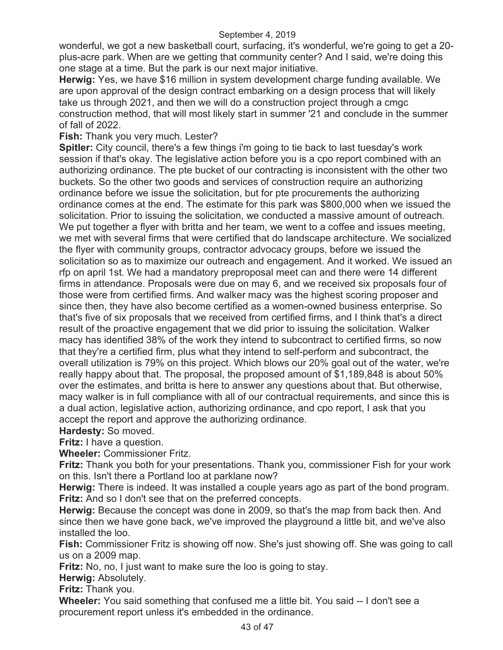wonderful, we got a new basketball court, surfacing, it's wonderful, we're going to get a 20 plus-acre park. When are we getting that community center? And I said, we're doing this one stage at a time. But the park is our next major initiative.

**Herwig:** Yes, we have \$16 million in system development charge funding available. We are upon approval of the design contract embarking on a design process that will likely take us through 2021, and then we will do a construction project through a cmgc construction method, that will most likely start in summer '21 and conclude in the summer of fall of 2022.

**Fish:** Thank you very much. Lester?

**Spitler:** City council, there's a few things i'm going to tie back to last tuesday's work session if that's okay. The legislative action before you is a cpo report combined with an authorizing ordinance. The pte bucket of our contracting is inconsistent with the other two buckets. So the other two goods and services of construction require an authorizing ordinance before we issue the solicitation, but for pte procurements the authorizing ordinance comes at the end. The estimate for this park was \$800,000 when we issued the solicitation. Prior to issuing the solicitation, we conducted a massive amount of outreach. We put together a flyer with britta and her team, we went to a coffee and issues meeting, we met with several firms that were certified that do landscape architecture. We socialized the flyer with community groups, contractor advocacy groups, before we issued the solicitation so as to maximize our outreach and engagement. And it worked. We issued an rfp on april 1st. We had a mandatory preproposal meet can and there were 14 different firms in attendance. Proposals were due on may 6, and we received six proposals four of those were from certified firms. And walker macy was the highest scoring proposer and since then, they have also become certified as a women-owned business enterprise. So that's five of six proposals that we received from certified firms, and I think that's a direct result of the proactive engagement that we did prior to issuing the solicitation. Walker macy has identified 38% of the work they intend to subcontract to certified firms, so now that they're a certified firm, plus what they intend to self-perform and subcontract, the overall utilization is 79% on this project. Which blows our 20% goal out of the water, we're really happy about that. The proposal, the proposed amount of \$1,189,848 is about 50% over the estimates, and britta is here to answer any questions about that. But otherwise, macy walker is in full compliance with all of our contractual requirements, and since this is a dual action, legislative action, authorizing ordinance, and cpo report, I ask that you accept the report and approve the authorizing ordinance.

# **Hardesty:** So moved.

**Fritz:** I have a question.

**Wheeler:** Commissioner Fritz.

**Fritz:** Thank you both for your presentations. Thank you, commissioner Fish for your work on this. Isn't there a Portland loo at parklane now?

**Herwig:** There is indeed. It was installed a couple years ago as part of the bond program. **Fritz:** And so I don't see that on the preferred concepts.

**Herwig:** Because the concept was done in 2009, so that's the map from back then. And since then we have gone back, we've improved the playground a little bit, and we've also installed the loo.

**Fish:** Commissioner Fritz is showing off now. She's just showing off. She was going to call us on a 2009 map.

**Fritz:** No, no, I just want to make sure the loo is going to stay.

**Herwig:** Absolutely.

**Fritz:** Thank you.

**Wheeler:** You said something that confused me a little bit. You said -- I don't see a procurement report unless it's embedded in the ordinance.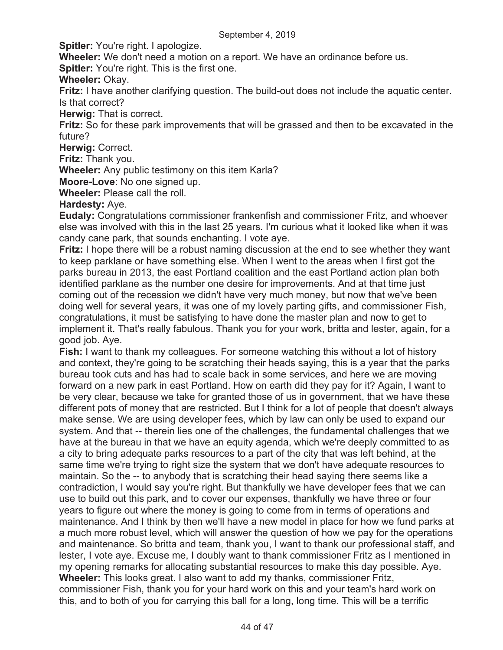**Spitler:** You're right. I apologize.

**Wheeler:** We don't need a motion on a report. We have an ordinance before us.

**Spitler:** You're right. This is the first one.

**Wheeler:** Okay.

**Fritz:** I have another clarifying question. The build-out does not include the aquatic center. Is that correct?

**Herwig:** That is correct.

**Fritz:** So for these park improvements that will be grassed and then to be excavated in the future?

**Herwig:** Correct.

**Fritz:** Thank you.

**Wheeler:** Any public testimony on this item Karla?

**Moore-Love**: No one signed up.

**Wheeler:** Please call the roll.

#### **Hardesty:** Aye.

**Eudaly:** Congratulations commissioner frankenfish and commissioner Fritz, and whoever else was involved with this in the last 25 years. I'm curious what it looked like when it was candy cane park, that sounds enchanting. I vote aye.

**Fritz:** I hope there will be a robust naming discussion at the end to see whether they want to keep parklane or have something else. When I went to the areas when I first got the parks bureau in 2013, the east Portland coalition and the east Portland action plan both identified parklane as the number one desire for improvements. And at that time just coming out of the recession we didn't have very much money, but now that we've been doing well for several years, it was one of my lovely parting gifts, and commissioner Fish, congratulations, it must be satisfying to have done the master plan and now to get to implement it. That's really fabulous. Thank you for your work, britta and lester, again, for a good job. Aye.

**Fish:** I want to thank my colleagues. For someone watching this without a lot of history and context, they're going to be scratching their heads saying, this is a year that the parks bureau took cuts and has had to scale back in some services, and here we are moving forward on a new park in east Portland. How on earth did they pay for it? Again, I want to be very clear, because we take for granted those of us in government, that we have these different pots of money that are restricted. But I think for a lot of people that doesn't always make sense. We are using developer fees, which by law can only be used to expand our system. And that -- therein lies one of the challenges, the fundamental challenges that we have at the bureau in that we have an equity agenda, which we're deeply committed to as a city to bring adequate parks resources to a part of the city that was left behind, at the same time we're trying to right size the system that we don't have adequate resources to maintain. So the -- to anybody that is scratching their head saying there seems like a contradiction, I would say you're right. But thankfully we have developer fees that we can use to build out this park, and to cover our expenses, thankfully we have three or four years to figure out where the money is going to come from in terms of operations and maintenance. And I think by then we'll have a new model in place for how we fund parks at a much more robust level, which will answer the question of how we pay for the operations and maintenance. So britta and team, thank you, I want to thank our professional staff, and lester, I vote aye. Excuse me, I doubly want to thank commissioner Fritz as I mentioned in my opening remarks for allocating substantial resources to make this day possible. Aye. **Wheeler:** This looks great. I also want to add my thanks, commissioner Fritz, commissioner Fish, thank you for your hard work on this and your team's hard work on this, and to both of you for carrying this ball for a long, long time. This will be a terrific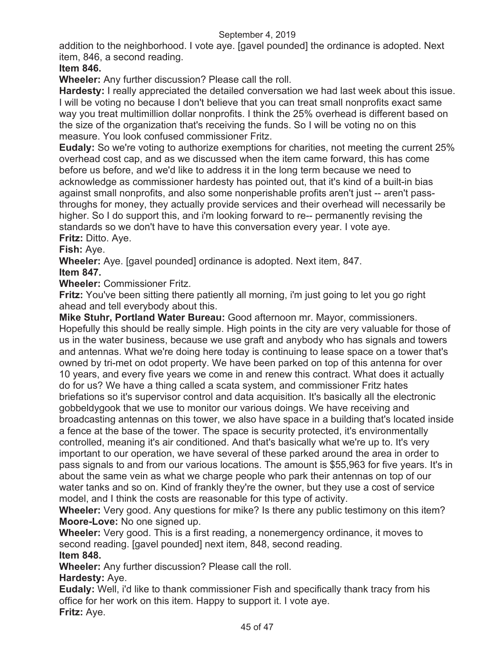addition to the neighborhood. I vote aye. [gavel pounded] the ordinance is adopted. Next item, 846, a second reading.

# **Item 846.**

**Wheeler:** Any further discussion? Please call the roll.

**Hardesty:** I really appreciated the detailed conversation we had last week about this issue. I will be voting no because I don't believe that you can treat small nonprofits exact same way you treat multimillion dollar nonprofits. I think the 25% overhead is different based on the size of the organization that's receiving the funds. So I will be voting no on this measure. You look confused commissioner Fritz.

**Eudaly:** So we're voting to authorize exemptions for charities, not meeting the current 25% overhead cost cap, and as we discussed when the item came forward, this has come before us before, and we'd like to address it in the long term because we need to acknowledge as commissioner hardesty has pointed out, that it's kind of a built-in bias against small nonprofits, and also some nonperishable profits aren't just -- aren't passthroughs for money, they actually provide services and their overhead will necessarily be higher. So I do support this, and i'm looking forward to re-- permanently revising the standards so we don't have to have this conversation every year. I vote aye. **Fritz:** Ditto. Aye.

**Fish:** Aye.

**Wheeler:** Aye. [gavel pounded] ordinance is adopted. Next item, 847.

# **Item 847.**

**Wheeler:** Commissioner Fritz.

**Fritz:** You've been sitting there patiently all morning, i'm just going to let you go right ahead and tell everybody about this.

**Mike Stuhr, Portland Water Bureau:** Good afternoon mr. Mayor, commissioners. Hopefully this should be really simple. High points in the city are very valuable for those of us in the water business, because we use graft and anybody who has signals and towers and antennas. What we're doing here today is continuing to lease space on a tower that's owned by tri-met on odot property. We have been parked on top of this antenna for over 10 years, and every five years we come in and renew this contract. What does it actually do for us? We have a thing called a scata system, and commissioner Fritz hates briefations so it's supervisor control and data acquisition. It's basically all the electronic gobbeldygook that we use to monitor our various doings. We have receiving and broadcasting antennas on this tower, we also have space in a building that's located inside a fence at the base of the tower. The space is security protected, it's environmentally controlled, meaning it's air conditioned. And that's basically what we're up to. It's very important to our operation, we have several of these parked around the area in order to pass signals to and from our various locations. The amount is \$55,963 for five years. It's in about the same vein as what we charge people who park their antennas on top of our water tanks and so on. Kind of frankly they're the owner, but they use a cost of service model, and I think the costs are reasonable for this type of activity.

**Wheeler:** Very good. Any questions for mike? Is there any public testimony on this item? **Moore-Love:** No one signed up.

**Wheeler:** Very good. This is a first reading, a nonemergency ordinance, it moves to second reading. [gavel pounded] next item, 848, second reading.

**Item 848.** 

**Wheeler:** Any further discussion? Please call the roll.

**Hardesty:** Aye.

**Eudaly:** Well, i'd like to thank commissioner Fish and specifically thank tracy from his office for her work on this item. Happy to support it. I vote aye. **Fritz:** Aye.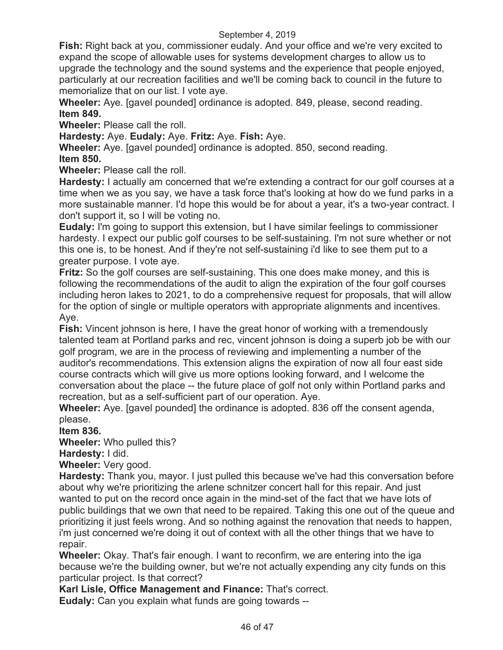**Fish:** Right back at you, commissioner eudaly. And your office and we're very excited to expand the scope of allowable uses for systems development charges to allow us to upgrade the technology and the sound systems and the experience that people enjoyed, particularly at our recreation facilities and we'll be coming back to council in the future to memorialize that on our list. I vote aye.

**Wheeler:** Aye. [gavel pounded] ordinance is adopted. 849, please, second reading. **Item 849.** 

**Wheeler:** Please call the roll.

**Hardesty:** Aye. **Eudaly:** Aye. **Fritz:** Aye. **Fish:** Aye.

**Wheeler:** Aye. [gavel pounded] ordinance is adopted. 850, second reading.

**Item 850.** 

**Wheeler:** Please call the roll.

**Hardesty:** I actually am concerned that we're extending a contract for our golf courses at a time when we as you say, we have a task force that's looking at how do we fund parks in a more sustainable manner. I'd hope this would be for about a year, it's a two-year contract. I don't support it, so I will be voting no.

**Eudaly:** I'm going to support this extension, but I have similar feelings to commissioner hardesty. I expect our public golf courses to be self-sustaining. I'm not sure whether or not this one is, to be honest. And if they're not self-sustaining i'd like to see them put to a greater purpose. I vote aye.

**Fritz:** So the golf courses are self-sustaining. This one does make money, and this is following the recommendations of the audit to align the expiration of the four golf courses including heron lakes to 2021, to do a comprehensive request for proposals, that will allow for the option of single or multiple operators with appropriate alignments and incentives. Aye.

**Fish:** Vincent johnson is here, I have the great honor of working with a tremendously talented team at Portland parks and rec, vincent johnson is doing a superb job be with our golf program, we are in the process of reviewing and implementing a number of the auditor's recommendations. This extension aligns the expiration of now all four east side course contracts which will give us more options looking forward, and I welcome the conversation about the place -- the future place of golf not only within Portland parks and recreation, but as a self-sufficient part of our operation. Aye.

**Wheeler:** Aye. [gavel pounded] the ordinance is adopted. 836 off the consent agenda, please.

**Item 836.** 

**Wheeler:** Who pulled this?

**Hardesty:** I did.

**Wheeler:** Very good.

**Hardesty:** Thank you, mayor. I just pulled this because we've had this conversation before about why we're prioritizing the arlene schnitzer concert hall for this repair. And just wanted to put on the record once again in the mind-set of the fact that we have lots of public buildings that we own that need to be repaired. Taking this one out of the queue and prioritizing it just feels wrong. And so nothing against the renovation that needs to happen, i'm just concerned we're doing it out of context with all the other things that we have to repair.

**Wheeler:** Okay. That's fair enough. I want to reconfirm, we are entering into the iga because we're the building owner, but we're not actually expending any city funds on this particular project. Is that correct?

**Karl Lisle, Office Management and Finance:** That's correct.

**Eudaly:** Can you explain what funds are going towards --